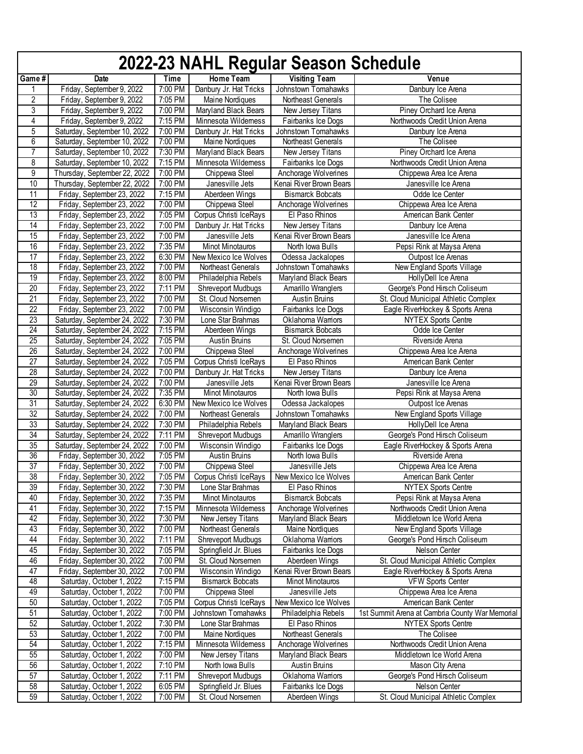|                 | 2022-23 NAHL Regular Season Schedule                       |                    |                                                          |                                            |                                                             |  |  |  |
|-----------------|------------------------------------------------------------|--------------------|----------------------------------------------------------|--------------------------------------------|-------------------------------------------------------------|--|--|--|
| Game#           | Date                                                       | Time               | Home Team                                                | <b>Visiting Team</b>                       | Venue                                                       |  |  |  |
| 1               | Friday, September 9, 2022                                  | 7:00 PM            | Danbury Jr. Hat Tricks                                   | Johnstown Tomahawks                        | Danbury Ice Arena                                           |  |  |  |
| $\overline{2}$  | Friday, September 9, 2022                                  | 7:05 PM            | Maine Nordiques                                          | Northeast Generals                         | The Colisee                                                 |  |  |  |
| 3               | Friday, September 9, 2022                                  | 7:00 PM            | Maryland Black Bears                                     | New Jersey Titans                          | Piney Orchard Ice Arena                                     |  |  |  |
| 4               | Friday, September 9, 2022                                  | 7:15 PM            | Minnesota Wildemess                                      | Fairbanks Ice Dogs                         | Northwoods Credit Union Arena                               |  |  |  |
| 5               | Saturday, September 10, 2022                               | 7:00 PM            | Danbury Jr. Hat Tricks                                   | Johnstown Tomahawks                        | Danbury Ice Arena                                           |  |  |  |
| $\overline{6}$  | Saturday, September 10, 2022                               | 7:00 PM            | Maine Nordiques                                          | Northeast Generals                         | The Colisee                                                 |  |  |  |
| $\overline{7}$  | Saturday, September 10, 2022                               | 7:30 PM            | Maryland Black Bears                                     | New Jersey Titans                          | Piney Orchard Ice Arena                                     |  |  |  |
| 8               | Saturday, September 10, 2022                               | 7:15 PM            | Minnesota Wildemess                                      | Fairbanks Ice Dogs                         | Northwoods Credit Union Arena                               |  |  |  |
| 9               | Thursday, September 22, 2022                               | 7:00 PM            | Chippewa Steel                                           | Anchorage Wolverines                       | Chippewa Area Ice Arena                                     |  |  |  |
| 10              | Thursday, September 22, 2022                               | 7:00 PM            | Janesville Jets                                          | Kenai River Brown Bears                    | Janesville Ice Arena                                        |  |  |  |
| $\overline{11}$ | Friday, September 23, 2022                                 | 7:15 PM            | Aberdeen Wings                                           | <b>Bismarck Bobcats</b>                    | Odde Ice Center                                             |  |  |  |
| 12              | Friday, September 23, 2022                                 | 7:00 PM            | Chippewa Steel                                           | Anchorage Wolverines                       | Chippewa Area Ice Arena                                     |  |  |  |
| $\overline{13}$ | Friday, September 23, 2022                                 | 7:05 PM            | Corpus Christi IceRays                                   | El Paso Rhinos                             | American Bank Center                                        |  |  |  |
| $\overline{14}$ | Friday, September 23, 2022                                 | 7:00 PM            | Danbury Jr. Hat Tricks                                   | New Jersey Titans                          | Danbury Ice Arena                                           |  |  |  |
| 15              | Friday, September 23, 2022                                 | 7:00 PM            | Janesville Jets                                          | Kenai River Brown Bears                    | Janesville Ice Arena                                        |  |  |  |
| 16              | Friday, September 23, 2022                                 | 7:35 PM            | Minot Minotauros                                         | North Iowa Bulls                           | Pepsi Rink at Maysa Arena                                   |  |  |  |
| $\overline{17}$ | Friday, September 23, 2022                                 | 6:30 PM            | New Mexico Ice Wolves                                    | Odessa Jackalopes                          | Outpost Ice Arenas                                          |  |  |  |
| $\overline{18}$ | Friday, September 23, 2022                                 | 7:00 PM            | Northeast Generals                                       | Johnstown Tomahawks                        | New England Sports Village                                  |  |  |  |
| 19              | Friday, September 23, 2022                                 | 8:00 PM            | Philadelphia Rebels                                      | Maryland Black Bears                       | HollyDell Ice Arena                                         |  |  |  |
| $\overline{20}$ | Friday, September 23, 2022                                 | 7:11 PM            | Shreveport Mudbugs                                       | Amarillo Wranglers                         | George's Pond Hirsch Coliseum                               |  |  |  |
| $\overline{21}$ | Friday, September 23, 2022                                 | 7:00 PM            | St. Cloud Norsemen                                       | <b>Austin Bruins</b>                       | St. Cloud Municipal Athletic Complex                        |  |  |  |
| 22<br>23        | Friday, September 23, 2022<br>Saturday, September 24, 2022 | 7:00 PM            | Wisconsin Windigo                                        | Fairbanks Ice Dogs                         | Eagle RiverHockey & Sports Arena                            |  |  |  |
| 24              | Saturday, September 24, 2022                               | 7:30 PM<br>7:15 PM | Lone Star Brahmas<br>Aberdeen Wings                      | Oklahoma Wamors<br><b>Bismarck Bobcats</b> | <b>NYTEX Sports Centre</b><br>Odde Ice Center               |  |  |  |
| $\overline{25}$ | Saturday, September 24, 2022                               | 7:05 PM            | <b>Austin Bruins</b>                                     | St. Cloud Norsemen                         | Riverside Arena                                             |  |  |  |
| 26              | Saturday, September 24, 2022                               | 7:00 PM            | Chippewa Steel                                           | Anchorage Wolverines                       | Chippewa Area Ice Arena                                     |  |  |  |
| $\overline{27}$ | Saturday, September 24, 2022                               | 7:05 PM            | Corpus Christi IceRays                                   | El Paso Rhinos                             | American Bank Center                                        |  |  |  |
| 28              | Saturday, September 24, 2022                               | 7:00 PM            | Danbury Jr. Hat Tricks                                   | New Jersey Titans                          | Danbury Ice Arena                                           |  |  |  |
| 29              | Saturday, September 24, 2022                               | 7:00 PM            | Janesville Jets                                          | Kenai River Brown Bears                    | Janesville Ice Arena                                        |  |  |  |
| 30              | Saturday, September 24, 2022                               | 7:35 PM            | Minot Minotauros                                         | North Iowa Bulls                           | Pepsi Rink at Maysa Arena                                   |  |  |  |
| 31              | Saturday, September 24, 2022                               | 6:30 PM            | New Mexico Ice Wolves                                    | Odessa Jackalopes                          | Outpost Ice Arenas                                          |  |  |  |
| 32              | Saturday, September 24, 2022                               | 7:00 PM            | Northeast Generals                                       | Johnstown Tomahawks                        | New England Sports Village                                  |  |  |  |
| 33              | Saturday, September 24, 2022                               | 7:30 PM            | Philadelphia Rebels                                      | Maryland Black Bears                       | HollyDell Ice Arena                                         |  |  |  |
| $\overline{34}$ | Saturday, September 24, 2022                               | 7:11 PM            | Shreveport Mudbugs                                       | Amarillo Wranglers                         | George's Pond Hirsch Coliseum                               |  |  |  |
| 35              | Saturday, September 24, 2022                               | 7:00 PM            | Wisconsin Windigo                                        | Fairbanks Ice Dogs                         | Eagle RiverHockey & Sports Arena                            |  |  |  |
| 36              | Friday, September 30, 2022                                 | 7:05 PM            | <b>Austin Bruins</b>                                     | North Iowa Bulls                           | Riverside Arena                                             |  |  |  |
| $\overline{37}$ | Friday, September 30, 2022                                 | 7:00 PM            | Chippewa Steel                                           | Janesville Jets                            | Chippewa Area Ice Arena                                     |  |  |  |
| 38              | Friday, September 30, 2022                                 |                    | 7:05 PM   Corpus Christi IceRays   New Mexico Ice Wolves |                                            | American Bank Center                                        |  |  |  |
| 39              | Friday, September 30, 2022                                 | 7:30 PM            | Lone Star Brahmas                                        | El Paso Rhinos                             | <b>NYTEX Sports Centre</b>                                  |  |  |  |
| 40              | Friday, September 30, 2022                                 | 7:35 PM            | Minot Minotauros                                         | <b>Bismarck Bobcats</b>                    | Pepsi Rink at Maysa Arena                                   |  |  |  |
| 41              | Friday, September 30, 2022                                 | 7:15 PM            | Minnesota Wildemess                                      | Anchorage Wolverines                       | Northwoods Credit Union Arena                               |  |  |  |
| 42              | Friday, September 30, 2022                                 | 7:30 PM            | New Jersey Titans                                        | Maryland Black Bears                       | Middletown Ice World Arena                                  |  |  |  |
| 43<br>44        | Friday, September 30, 2022<br>Friday, September 30, 2022   | 7:00 PM<br>7:11 PM | Northeast Generals<br>Shreveport Mudbugs                 | <b>Maine Nordiques</b><br>Oklahoma Wamors  | New England Sports Village<br>George's Pond Hirsch Coliseum |  |  |  |
| 45              | Friday, September 30, 2022                                 | 7:05 PM            | Springfield Jr. Blues                                    | Fairbanks Ice Dogs                         | Nelson Center                                               |  |  |  |
| 46              | Friday, September 30, 2022                                 | 7:00 PM            | St. Cloud Norsemen                                       | Aberdeen Wings                             | St. Cloud Municipal Athletic Complex                        |  |  |  |
| 47              | Friday, September 30, 2022                                 | 7:00 PM            | Wisconsin Windigo                                        | Kenai River Brown Bears                    | Eagle RiverHockey & Sports Arena                            |  |  |  |
| 48              | Saturday, October 1, 2022                                  | 7:15 PM            | <b>Bismarck Bobcats</b>                                  | Minot Minotauros                           | <b>VFW Sports Center</b>                                    |  |  |  |
| 49              | Saturday, October 1, 2022                                  | 7:00 PM            | Chippewa Steel                                           | Janesville Jets                            | Chippewa Area Ice Arena                                     |  |  |  |
| 50              | Saturday, October 1, 2022                                  | 7:05 PM            | Corpus Christi IceRays                                   | New Mexico Ice Wolves                      | American Bank Center                                        |  |  |  |
| 51              | Saturday, October 1, 2022                                  | 7:00 PM            | Johnstown Tomahawks                                      | Philadelphia Rebels                        | 1st Summit Arena at Cambria County War Memorial             |  |  |  |
| 52              | Saturday, October 1, 2022                                  | 7:30 PM            | Lone Star Brahmas                                        | El Paso Rhinos                             | <b>NYTEX Sports Centre</b>                                  |  |  |  |
| 53              | Saturday, October 1, 2022                                  | 7:00 PM            | Maine Nordiques                                          | Northeast Generals                         | The Colisee                                                 |  |  |  |
| 54              | Saturday, October 1, 2022                                  | 7:15 PM            | Minnesota Wildemess                                      | Anchorage Wolverines                       | Northwoods Credit Union Arena                               |  |  |  |
| 55              | Saturday, October 1, 2022                                  | 7:00 PM            | New Jersey Titans                                        | Maryland Black Bears                       | Middletown Ice World Arena                                  |  |  |  |
| 56              | Saturday, October 1, 2022                                  | 7:10 PM            | North Iowa Bulls                                         | <b>Austin Bruins</b>                       | Mason City Arena                                            |  |  |  |
| 57              | Saturday, October 1, 2022                                  | 7:11 PM            | Shreveport Mudbugs                                       | Oklahoma Wamors                            | George's Pond Hirsch Coliseum                               |  |  |  |
| 58              | Saturday, October 1, 2022                                  | 6:05 PM            | Springfield Jr. Blues                                    | Fairbanks Ice Dogs                         | Nelson Center                                               |  |  |  |
| 59              | Saturday, October 1, 2022                                  | 7:00 PM            | St. Cloud Norsemen                                       | Aberdeen Wings                             | St. Cloud Municipal Athletic Complex                        |  |  |  |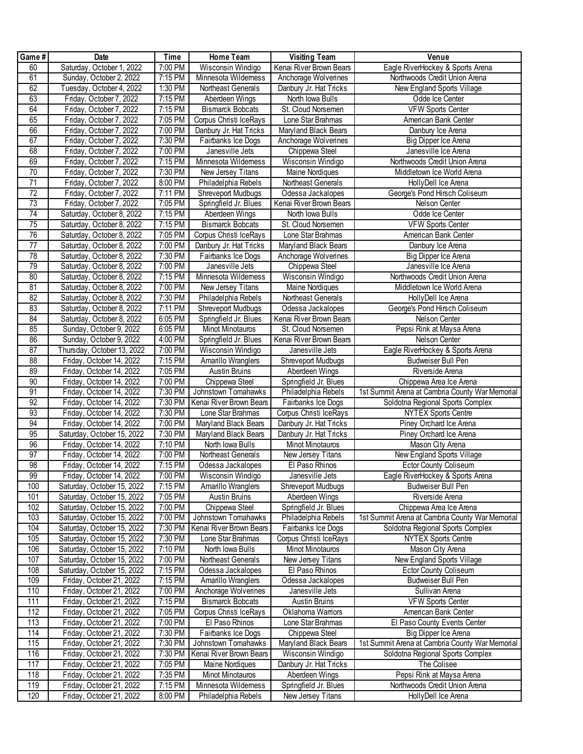| Game#           | <b>Date</b>                | Time    | Home Team               | <b>Visiting Team</b>    | Venue                                           |
|-----------------|----------------------------|---------|-------------------------|-------------------------|-------------------------------------------------|
| 60              | Saturday, October 1, 2022  | 7:00 PM | Wisconsin Windigo       | Kenai River Brown Bears | Eagle RiverHockey & Sports Arena                |
| 61              | Sunday, October 2, 2022    | 7:15 PM | Minnesota Wildemess     | Anchorage Wolverines    | Northwoods Credit Union Arena                   |
| 62              | Tuesday, October 4, 2022   | 1:30 PM | Northeast Generals      | Danbury Jr. Hat Tricks  | New England Sports Village                      |
| 63              | Friday, October 7, 2022    | 7:15 PM | Aberdeen Wings          | North Iowa Bulls        | Odde Ice Center                                 |
| 64              | Friday, October 7, 2022    | 7:15 PM | <b>Bismarck Bobcats</b> | St. Cloud Norsemen      | <b>VFW Sports Center</b>                        |
| 65              | Friday, October 7, 2022    | 7:05 PM | Corpus Christi IceRays  | Lone Star Brahmas       | American Bank Center                            |
| 66              | Friday, October 7, 2022    | 7:00 PM | Danbury Jr. Hat Tricks  | Maryland Black Bears    | Danbury Ice Arena                               |
| 67              | Friday, October 7, 2022    | 7:30 PM | Fairbanks Ice Dogs      | Anchorage Wolverines    | Big Dipper Ice Arena                            |
| 68              | Friday, October 7, 2022    | 7:00 PM | Janesville Jets         | Chippewa Steel          | Janesville Ice Arena                            |
| 69              | Friday, October 7, 2022    | 7:15 PM | Minnesota Wildemess     | Wisconsin Windigo       | Northwoods Credit Union Arena                   |
| $70\,$          | Friday, October 7, 2022    | 7:30 PM | New Jersey Titans       | Maine Nordiques         | Middletown Ice World Arena                      |
| 71              | Friday, October 7, 2022    | 8:00 PM | Philadelphia Rebels     | Northeast Generals      | HollyDell Ice Arena                             |
| $\overline{72}$ | Friday, October 7, 2022    | 7:11 PM | Shreveport Mudbugs      | Odessa Jackalopes       | George's Pond Hirsch Coliseum                   |
| $\overline{73}$ | Friday, October 7, 2022    | 7:05 PM | Springfield Jr. Blues   | Kenai River Brown Bears | Nelson Center                                   |
| 74              | Saturday, October 8, 2022  | 7:15 PM | Aberdeen Wings          | North Iowa Bulls        | Odde Ice Center                                 |
| 75              | Saturday, October 8, 2022  | 7:15 PM | <b>Bismarck Bobcats</b> | St. Cloud Norsemen      | <b>VFW Sports Center</b>                        |
| 76              | Saturday, October 8, 2022  | 7:05 PM | Corpus Christi IceRays  | Lone Star Brahmas       | American Bank Center                            |
| $\overline{77}$ | Saturday, October 8, 2022  | 7:00 PM | Danbury Jr. Hat Tricks  | Maryland Black Bears    | Danbury Ice Arena                               |
| $\overline{78}$ | Saturday, October 8, 2022  | 7:30 PM | Fairbanks Ice Dogs      | Anchorage Wolverines    | Big Dipper Ice Arena                            |
| 79              | Saturday, October 8, 2022  | 7:00 PM | Janesville Jets         | Chippewa Steel          | Janesville Ice Arena                            |
| 80              | Saturday, October 8, 2022  | 7:15 PM | Minnesota Wildemess     | Wisconsin Windigo       | Northwoods Credit Union Arena                   |
| 81              | Saturday, October 8, 2022  | 7:00 PM | New Jersey Titans       | Maine Nordiques         | Middletown Ice World Arena                      |
| 82              | Saturday, October 8, 2022  | 7:30 PM | Philadelphia Rebels     | Northeast Generals      | HollyDell Ice Arena                             |
| 83              | Saturday, October 8, 2022  | 7:11 PM | Shreveport Mudbugs      | Odessa Jackalopes       | George's Pond Hirsch Coliseum                   |
| 84              | Saturday, October 8, 2022  | 6:05 PM | Springfield Jr. Blues   | Kenai River Brown Bears | Nelson Center                                   |
| 85              | Sunday, October 9, 2022    | 6:05 PM | <b>Minot Minotauros</b> | St. Cloud Norsemen      | Pepsi Rink at Maysa Arena                       |
| 86              | Sunday, October 9, 2022    | 4:00 PM | Springfield Jr. Blues   | Kenai River Brown Bears | Nelson Center                                   |
| 87              | Thursday, October 13, 2022 | 7:00 PM | Wisconsin Windigo       | Janesville Jets         | Eagle RiverHockey & Sports Arena                |
| 88              | Friday, October 14, 2022   | 7:15 PM | Amarillo Wranglers      | Shreveport Mudbugs      | Budweiser Bull Pen                              |
| 89              | Friday, October 14, 2022   | 7:05 PM | Austin Bruins           | Aberdeen Wings          | Riverside Arena                                 |
| 90              | Friday, October 14, 2022   | 7:00 PM | Chippewa Steel          | Springfield Jr. Blues   | Chippewa Area Ice Arena                         |
| 91              | Friday, October 14, 2022   | 7:30 PM | Johnstown Tomahawks     | Philadelphia Rebels     | 1st Summit Arena at Cambria County War Memorial |
| 92              | Friday, October 14, 2022   | 7:30 PM | Kenai River Brown Bears | Fairbanks Ice Dogs      | Soldotna Regional Sports Complex                |
| 93              | Friday, October 14, 2022   | 7:30 PM | Lone Star Brahmas       | Corpus Christi IceRays  | <b>NYTEX Sports Centre</b>                      |
| 94              | Friday, October 14, 2022   | 7:00 PM | Maryland Black Bears    | Danbury Jr. Hat Tricks  | Piney Orchard Ice Arena                         |
| 95              | Saturday, October 15, 2022 | 7:30 PM | Maryland Black Bears    | Danbury Jr. Hat Tricks  | Piney Orchard Ice Arena                         |
| 96              | Friday, October 14, 2022   | 7:10 PM | North Iowa Bulls        | Minot Minotauros        | Mason City Arena                                |
| 97              | Friday, October 14, 2022   | 7:00 PM | Northeast Generals      | New Jersey Titans       | New England Sports Village                      |
| 98              | Friday, October 14, 2022   | 7:15 PM | Odessa Jackalopes       | El Paso Rhinos          | Ector County Coliseum                           |
| 99              | Friday, October 14, 2022   | 7:00 PM | Wisconsin Windigo       | Janesville Jets         | Eagle RiverHockey & Sports Arena                |
| 100             | Saturday, October 15, 2022 | 7:15 PM | Amarillo Wranglers      | Shreveport Mudbugs      | Budweiser Bull Pen                              |
| 101             | Saturday, October 15, 2022 | 7:05 PM | Austin Bruins           | Aberdeen Wings          | Riverside Arena                                 |
| 102             | Saturday, October 15, 2022 | 7:00 PM | Chippewa Steel          | Springfield Jr. Blues   | Chippewa Area Ice Arena                         |
| 103             | Saturday, October 15, 2022 | 7:00 PM | Johnstown Tomahawks     | Philadelphia Rebels     | 1st Summit Arena at Cambria County War Memorial |
| 104             | Saturday, October 15, 2022 | 7:30 PM | Kenai River Brown Bears | Fairbanks Ice Dogs      | Soldotna Regional Sports Complex                |
| 105             | Saturday, October 15, 2022 | 7:30 PM | Lone Star Brahmas       | Corpus Christi IceRays  | <b>NYTEX Sports Centre</b>                      |
| 106             | Saturday, October 15, 2022 | 7:10 PM | North Iowa Bulls        | Minot Minotauros        | Mason City Arena                                |
| 107             | Saturday, October 15, 2022 | 7:00 PM | Northeast Generals      | New Jersey Titans       | New England Sports Village                      |
| 108             | Saturday, October 15, 2022 | 7:15 PM | Odessa Jackalopes       | El Paso Rhinos          | <b>Ector County Coliseum</b>                    |
| 109             | Friday, October 21, 2022   | 7:15 PM | Amarillo Wranglers      | Odessa Jackalopes       | Budweiser Bull Pen                              |
| 110             | Friday, October 21, 2022   | 7:00 PM | Anchorage Wolverines    | Janesville Jets         | Sullivan Arena                                  |
| 111             | Friday, October 21, 2022   | 7:15 PM | <b>Bismarck Bobcats</b> | <b>Austin Bruins</b>    | <b>VFW Sports Center</b>                        |
| 112             | Friday, October 21, 2022   | 7:05 PM | Corpus Christi IceRays  | Oklahoma Wamors         | American Bank Center                            |
| 113             | Friday, October 21, 2022   | 7:00 PM | El Paso Rhinos          | Lone Star Brahmas       | El Paso County Events Center                    |
| 114             | Friday, October 21, 2022   | 7:30 PM | Fairbanks Ice Dogs      | Chippewa Steel          | Big Dipper Ice Arena                            |
| 115             | Friday, October 21, 2022   | 7:30 PM | Johnstown Tomahawks     | Maryland Black Bears    | 1st Summit Arena at Cambria County War Memorial |
| 116             | Friday, October 21, 2022   | 7:30 PM | Kenai River Brown Bears | Wisconsin Windigo       | Soldotna Regional Sports Complex                |
| 117             | Friday, October 21, 2022   | 7:05 PM | Maine Nordiques         | Danbury Jr. Hat Tricks  | The Colisee                                     |
| 118             | Friday, October 21, 2022   | 7:35 PM | Minot Minotauros        | Aberdeen Wings          | Pepsi Rink at Maysa Arena                       |
| 119             | Friday, October 21, 2022   | 7:15 PM | Minnesota Wildemess     | Springfield Jr. Blues   | Northwoods Credit Union Arena                   |
| 120             | Friday, October 21, 2022   | 8:00 PM | Philadelphia Rebels     | New Jersey Titans       | HollyDell Ice Arena                             |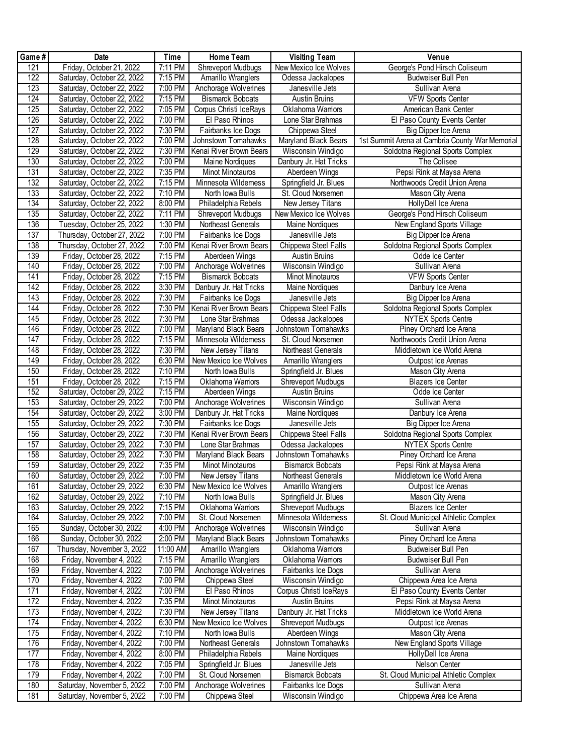| Game#            | Date                                                     | Time                 | Home Team                                    | <b>Visiting Team</b>                      | Venue                                                             |
|------------------|----------------------------------------------------------|----------------------|----------------------------------------------|-------------------------------------------|-------------------------------------------------------------------|
| 121              | Friday, October 21, 2022                                 | 7:11 PM              | Shreveport Mudbugs                           | New Mexico Ice Wolves                     | George's Pond Hirsch Coliseum                                     |
| 122              | Saturday, October 22, 2022                               | 7:15 PM              | Amarillo Wranglers                           | Odessa Jackalopes                         | Budweiser Bull Pen                                                |
| 123              | Saturday, October 22, 2022                               | 7:00 PM              | Anchorage Wolverines                         | Janesville Jets                           | Sullivan Arena                                                    |
| 124              | Saturday, October 22, 2022                               | 7:15 PM              | <b>Bismarck Bobcats</b>                      | <b>Austin Bruins</b>                      | <b>VFW Sports Center</b>                                          |
| 125              | Saturday, October 22, 2022                               | 7:05 PM              | Corpus Christi IceRays                       | Oklahoma Wamors                           | American Bank Center                                              |
| 126              | Saturday, October 22, 2022                               | 7:00 PM              | El Paso Rhinos                               | Lone Star Brahmas                         | El Paso County Events Center                                      |
| 127              | Saturday, October 22, 2022                               | 7:30 PM              | Fairbanks Ice Dogs                           | Chippewa Steel                            | Big Dipper Ice Arena                                              |
| 128              | Saturday, October 22, 2022                               | 7:00 PM              | Johnstown Tomahawks                          | Maryland Black Bears                      | 1st Summit Arena at Cambria County War Memorial                   |
| 129              | Saturday, October 22, 2022                               | 7:30 PM              | Kenai River Brown Bears                      | Wisconsin Windigo                         | Soldotna Regional Sports Complex                                  |
| 130              | Saturday, October 22, 2022                               | 7:00 PM              | Maine Nordiques                              | Danbury Jr. Hat Tricks                    | The Colisee                                                       |
| 131              | Saturday, October 22, 2022                               | 7:35 PM              | Minot Minotauros                             | Aberdeen Wings                            | Pepsi Rink at Maysa Arena                                         |
| 132              | Saturday, October 22, 2022                               | 7:15 PM              | Minnesota Wildemess                          | Springfield Jr. Blues                     | Northwoods Credit Union Arena                                     |
| 133              | Saturday, October 22, 2022                               | 7:10 PM              | North Iowa Bulls                             | St. Cloud Norsemen                        | Mason City Arena                                                  |
| 134              | Saturday, October 22, 2022                               | 8:00 PM              | Philadelphia Rebels                          | New Jersey Titans                         | HollyDell Ice Arena                                               |
| 135              | Saturday, October 22, 2022                               | 7:11 PM              | <b>Shreveport Mudbugs</b>                    | New Mexico Ice Wolves                     | George's Pond Hirsch Coliseum                                     |
| 136              | Tuesday, October 25, 2022                                | 1:30 PM              | Northeast Generals                           | Maine Nordiques                           | New England Sports Village                                        |
| 137              | Thursday, October 27, 2022                               | 7:00 PM              | Fairbanks Ice Dogs                           | Janesville Jets                           | Big Dipper Ice Arena                                              |
| 138              | Thursday, October 27, 2022                               | 7:00 PM              | Kenai River Brown Bears                      | Chippewa Steel Falls                      | Soldotna Regional Sports Complex                                  |
| 139              | Friday, October 28, 2022                                 | 7:15 PM              | Aberdeen Wings                               | <b>Austin Bruins</b>                      | Odde Ice Center                                                   |
| 140              | Friday, October 28, 2022                                 | 7:00 PM              | Anchorage Wolverines                         | Wisconsin Windigo                         | Sullivan Arena                                                    |
| 141              | Friday, October 28, 2022                                 | 7:15 PM              | <b>Bismarck Bobcats</b>                      | Minot Minotauros                          | <b>VFW Sports Center</b>                                          |
| 142              | Friday, October 28, 2022                                 | 3:30 PM              | Danbury Jr. Hat Tricks                       | Maine Nordiques                           | Danbury Ice Arena                                                 |
| 143              | Friday, October 28, 2022                                 | 7:30 PM              | Fairbanks Ice Dogs                           | Janesville Jets                           | Big Dipper Ice Arena                                              |
| 144              | Friday, October 28, 2022                                 | 7:30 PM              | Kenai River Brown Bears                      | Chippewa Steel Falls                      | Soldotna Regional Sports Complex                                  |
| 145              | Friday, October 28, 2022                                 | 7:30 PM              | Lone Star Brahmas                            | Odessa Jackalopes                         | <b>NYTEX Sports Centre</b>                                        |
| 146              | Friday, October 28, 2022                                 | 7:00 PM              | Maryland Black Bears                         | Johnstown Tomahawks                       | Piney Orchard Ice Arena                                           |
| $\overline{147}$ | Friday, October 28, 2022                                 | 7:15 PM              | Minnesota Wildemess                          | St. Cloud Norsemen                        | Northwoods Credit Union Arena                                     |
| 148              | Friday, October 28, 2022                                 | 7:30 PM              | New Jersey Titans                            | Northeast Generals                        | Middletown Ice World Arena                                        |
| 149              | Friday, October 28, 2022                                 | 6:30 PM              | New Mexico Ice Wolves                        | Amarillo Wranglers                        | Outpost Ice Arenas                                                |
| 150              | Friday, October 28, 2022                                 | 7:10 PM              | North Iowa Bulls                             | Springfield Jr. Blues                     | Mason City Arena                                                  |
| 151              | Friday, October 28, 2022                                 | 7:15 PM              | Oklahoma Wamors                              | Shreveport Mudbugs                        | <b>Blazers Ice Center</b>                                         |
| 152              | Saturday, October 29, 2022                               | 7:15 PM              | Aberdeen Wings                               | Austin Bruins                             | Odde Ice Center                                                   |
| 153              | Saturday, October 29, 2022                               | 7:00 PM              | Anchorage Wolverines                         | Wisconsin Windigo                         | Sullivan Arena                                                    |
| 154              | Saturday, October 29, 2022                               | 3:00 PM              | Danbury Jr. Hat Tricks                       | Maine Nordiques                           | Danbury Ice Arena                                                 |
| 155              | Saturday, October 29, 2022                               | 7:30 PM              | Fairbanks Ice Dogs                           | Janesville Jets                           | Big Dipper Ice Arena                                              |
| 156              | Saturday, October 29, 2022                               | 7:30 PM              | Kenai River Brown Bears                      | Chippewa Steel Falls                      | Soldotna Regional Sports Complex                                  |
| 157              | Saturday, October 29, 2022                               | 7:30 PM              | Lone Star Brahmas                            | Odessa Jackalopes                         | <b>NYTEX Sports Centre</b>                                        |
| 158              | Saturday, October 29, 2022                               | 7:30 PM              | Maryland Black Bears                         | Johnstown Tomahawks                       | Piney Orchard Ice Arena                                           |
| 159              | Saturday, October 29, 2022                               | 7:35 PM              | Minot Minotauros                             | <b>Bismarck Bobcats</b>                   | Pepsi Rink at Maysa Arena                                         |
| 160              | Saturday, October 29, 2022                               | 7:00 PM              | <b>New Jersey Titans</b>                     | Northeast Generals                        | Middletown Ice World Arena                                        |
| 161              | Saturday, October 29, 2022                               | 6:30 PM              | New Mexico Ice Wolves                        | Amarillo Wranglers                        | Outpost Ice Arenas                                                |
| 162              | Saturday, October 29, 2022                               | 7:10 PM              | North Iowa Bulls                             | Springfield Jr. Blues                     | Mason City Arena                                                  |
| 163              | Saturday, October 29, 2022<br>Saturday, October 29, 2022 | 7:15 PM<br>7:00 PM   | Oklahoma Wamors                              | Shreveport Mudbugs<br>Minnesota Wildemess | <b>Blazers Ice Center</b><br>St. Cloud Municipal Athletic Complex |
| 164<br>165       | Sunday, October 30, 2022                                 | 4:00 PM              | St. Cloud Norsemen                           |                                           | Sullivan Arena                                                    |
| 166              | Sunday, October 30, 2022                                 | 2:00 PM              | Anchorage Wolverines<br>Maryland Black Bears | Wisconsin Windigo<br>Johnstown Tomahawks  | Piney Orchard Ice Arena                                           |
| 167              | Thursday, November 3, 2022                               | 11:00 AM             | Amarillo Wranglers                           | Oklahoma Wamors                           | <b>Budweiser Bull Pen</b>                                         |
| 168              | Friday, November 4, 2022                                 | 7:15 PM              | Amarillo Wranglers                           | Oklahoma Wamors                           | Budweiser Bull Pen                                                |
| 169              | Friday, November 4, 2022                                 | 7:00 PM              | Anchorage Wolverines                         | Fairbanks Ice Dogs                        | Sullivan Arena                                                    |
| 170              | Friday, November 4, 2022                                 | 7:00 PM              | Chippewa Steel                               | Wisconsin Windigo                         | Chippewa Area Ice Arena                                           |
| 171              | Friday, November 4, 2022                                 | 7:00 PM              | El Paso Rhinos                               | Corpus Christi IceRays                    | El Paso County Events Center                                      |
| 172              | Friday, November 4, 2022                                 | 7:35 PM              | Minot Minotauros                             | Austin Bruins                             | Pepsi Rink at Maysa Arena                                         |
| 173              | Friday, November 4, 2022                                 | 7:30 PM              | New Jersey Titans                            | Danbury Jr. Hat Tricks                    | Middletown Ice World Arena                                        |
| 174              | Friday, November 4, 2022                                 | 6:30 PM              | New Mexico Ice Wolves                        | Shreveport Mudbugs                        | Outpost Ice Arenas                                                |
| 175              | Friday, November 4, 2022                                 | 7:10 PM              | North Iowa Bulls                             | Aberdeen Wings                            | Mason City Arena                                                  |
| 176              | Friday, November 4, 2022                                 | 7:00 PM              | Northeast Generals                           | Johnstown Tomahawks                       | New England Sports Village                                        |
| 177              | Friday, November 4, 2022                                 | 8:00 PM              | Philadelphia Rebels                          | Maine Nordiques                           | HollyDell Ice Arena                                               |
| 178              | Friday, November 4, 2022                                 | 7:05 PM              | Springfield Jr. Blues                        | Janesville Jets                           | Nelson Center                                                     |
| 179              | Friday, November 4, 2022                                 | 7:00 PM              | St. Cloud Norsemen                           | <b>Bismarck Bobcats</b>                   | St. Cloud Municipal Athletic Complex                              |
| 180              | Saturday, November 5, 2022                               | $\overline{7:}00$ PM | Anchorage Wolverines                         | Fairbanks Ice Dogs                        | Sullivan Arena                                                    |
| 181              | Saturday, November 5, 2022                               | 7:00 PM              | Chippewa Steel                               | Wisconsin Windigo                         | Chippewa Area Ice Arena                                           |
|                  |                                                          |                      |                                              |                                           |                                                                   |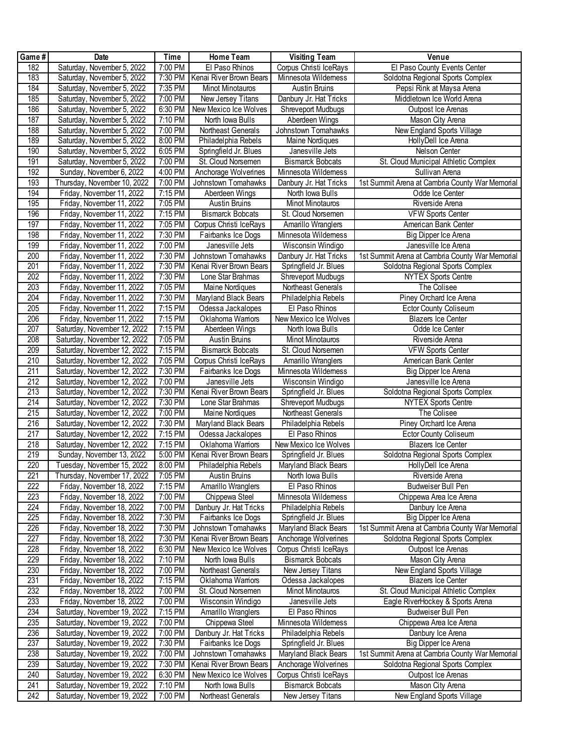| Game# | Date                        | <b>Time</b>          | Home Team               | <b>Visiting Team</b>      | Venue                                           |
|-------|-----------------------------|----------------------|-------------------------|---------------------------|-------------------------------------------------|
| 182   | Saturday, November 5, 2022  | 7:00 PM              | El Paso Rhinos          | Corpus Christi IceRays    | El Paso County Events Center                    |
| 183   | Saturday, November 5, 2022  | 7:30 PM              | Kenai River Brown Bears | Minnesota Wildemess       | Soldotna Regional Sports Complex                |
| 184   | Saturday, November 5, 2022  | 7:35 PM              | <b>Minot Minotauros</b> | Austin Bruins             | Pepsi Rink at Maysa Arena                       |
| 185   | Saturday, November 5, 2022  | 7:00 PM              | New Jersey Titans       | Danbury Jr. Hat Tricks    | Middletown Ice World Arena                      |
| 186   | Saturday, November 5, 2022  | 6:30 PM              | New Mexico Ice Wolves   | Shreveport Mudbugs        | Outpost Ice Arenas                              |
| 187   | Saturday, November 5, 2022  | 7:10 PM              | North Iowa Bulls        | Aberdeen Wings            | Mason City Arena                                |
| 188   | Saturday, November 5, 2022  | 7:00 PM              | Northeast Generals      | Johnstown Tomahawks       | New England Sports Village                      |
| 189   | Saturday, November 5, 2022  | 8:00 PM              | Philadelphia Rebels     | Maine Nordiques           | HollyDell Ice Arena                             |
| 190   | Saturday, November 5, 2022  | $6:05$ PM            | Springfield Jr. Blues   | Janesville Jets           | Nelson Center                                   |
| 191   | Saturday, November 5, 2022  | 7:00 PM              | St. Cloud Norsemen      | <b>Bismarck Bobcats</b>   | St. Cloud Municipal Athletic Complex            |
| 192   | Sunday, November 6, 2022    | 4:00 PM              | Anchorage Wolverines    | Minnesota Wildemess       | Sullivan Arena                                  |
| 193   | Thursday, November 10, 2022 | 7:00 PM              | Johnstown Tomahawks     | Danbury Jr. Hat Tricks    | 1st Summit Arena at Cambria County War Memorial |
| 194   | Friday, November 11, 2022   | 7:15 PM              | Aberdeen Wings          | North Iowa Bulls          | Odde Ice Center                                 |
| 195   | Friday, November 11, 2022   | 7:05 PM              | Austin Bruins           | Minot Minotauros          | Riverside Arena                                 |
| 196   | Friday, November 11, 2022   | 7:15 PM              | <b>Bismarck Bobcats</b> | St. Cloud Norsemen        | <b>VFW Sports Center</b>                        |
| 197   | Friday, November 11, 2022   | 7:05 PM              | Corpus Christi IceRays  | Amarillo Wranglers        | American Bank Center                            |
| 198   | Friday, November 11, 2022   | 7:30 PM              | Fairbanks Ice Dogs      | Minnesota Wildemess       | Big Dipper Ice Arena                            |
| 199   | Friday, November 11, 2022   | 7:00 PM              | Janesville Jets         | Wisconsin Windigo         | Janesville Ice Arena                            |
| 200   | Friday, November 11, 2022   | 7:30 PM              | Johnstown Tomahawks     | Danbury Jr. Hat Tricks    | 1st Summit Arena at Cambria County War Memorial |
| 201   | Friday, November 11, 2022   | 7:30 PM              | Kenai River Brown Bears | Springfield Jr. Blues     | Soldotna Regional Sports Complex                |
| 202   | Friday, November 11, 2022   | 7:30 PM              | Lone Star Brahmas       | <b>Shreveport Mudbugs</b> | <b>NYTEX Sports Centre</b>                      |
| 203   | Friday, November 11, 2022   | 7:05 PM              | Maine Nordiques         | Northeast Generals        | The Colisee                                     |
| 204   | Friday, November 11, 2022   | 7:30 PM              | Maryland Black Bears    | Philadelphia Rebels       | Piney Orchard Ice Arena                         |
| 205   | Friday, November 11, 2022   | 7:15 PM              | Odessa Jackalopes       | El Paso Rhinos            | Ector County Coliseum                           |
| 206   | Friday, November 11, 2022   | $7:15 \overline{PM}$ | Oklahoma Wamors         | New Mexico Ice Wolves     | <b>Blazers Ice Center</b>                       |
| 207   | Saturday, November 12, 2022 | 7:15 PM              | Aberdeen Wings          | North Iowa Bulls          | Odde Ice Center                                 |
| 208   | Saturday, November 12, 2022 | 7:05 PM              | <b>Austin Bruins</b>    | Minot Minotauros          | Riverside Arena                                 |
| 209   | Saturday, November 12, 2022 | 7:15 PM              | <b>Bismarck Bobcats</b> | St. Cloud Norsemen        | <b>VFW Sports Center</b>                        |
| 210   | Saturday, November 12, 2022 | 7:05 PM              | Corpus Christi IceRays  | Amarillo Wranglers        | American Bank Center                            |
| 211   | Saturday, November 12, 2022 | 7:30 PM              | Fairbanks Ice Dogs      | Minnesota Wildemess       | Big Dipper Ice Arena                            |
| 212   | Saturday, November 12, 2022 | 7:00 PM              | Janesville Jets         | Wisconsin Windigo         | Janesville Ice Arena                            |
| 213   | Saturday, November 12, 2022 | 7:30 PM              | Kenai River Brown Bears | Springfield Jr. Blues     | Soldotna Regional Sports Complex                |
| 214   | Saturday, November 12, 2022 | 7:30 PM              | Lone Star Brahmas       | Shreveport Mudbugs        | <b>NYTEX Sports Centre</b>                      |
| 215   | Saturday, November 12, 2022 | 7:00 PM              | Maine Nordiques         | Northeast Generals        | The Colisee                                     |
| 216   | Saturday, November 12, 2022 | 7:30 PM              | Maryland Black Bears    | Philadelphia Rebels       | Piney Orchard Ice Arena                         |
| 217   | Saturday, November 12, 2022 | 7:15 PM              | Odessa Jackalopes       | El Paso Rhinos            | <b>Ector County Coliseum</b>                    |
| 218   | Saturday, November 12, 2022 | $7:15 \overline{PM}$ | Oklahoma Wamors         | New Mexico Ice Wolves     | <b>Blazers Ice Center</b>                       |
| 219   | Sunday, November 13, 2022   | 5:00 PM              | Kenai River Brown Bears | Springfield Jr. Blues     | Soldotna Regional Sports Complex                |
| 220   | Tuesday, November 15, 2022  | 8:00 PM              | Philadelphia Rebels     | Maryland Black Bears      | HollyDell Ice Arena                             |
| 221   | Thursday, November 17, 2022 | 7:05 PM              | Austin Bruins           | North Iowa Bulls          | Riverside Arena                                 |
| 222   | Friday, November 18, 2022   | 7:15 PM              | Amarillo Wranglers      | El Paso Rhinos            | Budweiser Bull Pen                              |
| 223   | Friday, November 18, 2022   | 7:00 PM              | Chippewa Steel          | Minnesota Wildemess       | Chippewa Area Ice Arena                         |
| 224   | Friday, November 18, 2022   | 7:00 PM              | Danbury Jr. Hat Tricks  | Philadelphia Rebels       | Danbury Ice Arena                               |
| 225   | Friday, November 18, 2022   | 7:30 PM              | Fairbanks Ice Dogs      | Springfield Jr. Blues     | Big Dipper Ice Arena                            |
| 226   | Friday, November 18, 2022   | 7:30 PM              | Johnstown Tomahawks     | Maryland Black Bears      | 1st Summit Arena at Cambria County War Memorial |
| 227   | Friday, November 18, 2022   | 7:30 PM              | Kenai River Brown Bears | Anchorage Wolverines      | Soldotna Regional Sports Complex                |
| 228   | Friday, November 18, 2022   | 6:30 PM              | New Mexico Ice Wolves   | Corpus Christi IceRays    | Outpost Ice Arenas                              |
| 229   | Friday, November 18, 2022   | 7:10 PM              | North Iowa Bulls        | <b>Bismarck Bobcats</b>   | Mason City Arena                                |
| 230   | Friday, November 18, 2022   | 7:00 PM              | Northeast Generals      | New Jersey Titans         | New England Sports Village                      |
| 231   | Friday, November 18, 2022   | 7:15 PM              | Oklahoma Wamors         | Odessa Jackalopes         | Blazers Ice Center                              |
| 232   | Friday, November 18, 2022   | 7:00 PM              | St. Cloud Norsemen      | Minot Minotauros          | St. Cloud Municipal Athletic Complex            |
| 233   | Friday, November 18, 2022   | 7:00 PM              | Wisconsin Windigo       | Janesville Jets           | Eagle RiverHockey & Sports Arena                |
| 234   | Saturday, November 19, 2022 | 7:15 PM              | Amarillo Wranglers      | El Paso Rhinos            | <b>Budweiser Bull Pen</b>                       |
| 235   | Saturday, November 19, 2022 | 7:00 PM              | Chippewa Steel          | Minnesota Wildemess       | Chippewa Area Ice Arena                         |
| 236   | Saturday, November 19, 2022 | 7:00 PM              | Danbury Jr. Hat Tricks  | Philadelphia Rebels       | Danbury Ice Arena                               |
| 237   | Saturday, November 19, 2022 | 7:30 PM              | Fairbanks Ice Dogs      | Springfield Jr. Blues     | Big Dipper Ice Arena                            |
| 238   | Saturday, November 19, 2022 | 7:00 PM              | Johnstown Tomahawks     | Maryland Black Bears      | 1st Summit Arena at Cambria County War Memorial |
| 239   | Saturday, November 19, 2022 | 7:30 PM              | Kenai River Brown Bears | Anchorage Wolverines      | Soldotna Regional Sports Complex                |
| 240   | Saturday, November 19, 2022 | 6:30 PM              | New Mexico Ice Wolves   | Corpus Christi IceRays    | Outpost Ice Arenas                              |
| 241   | Saturday, November 19, 2022 | 7:10 PM              | North Iowa Bulls        | <b>Bismarck Bobcats</b>   | Mason City Arena                                |
| 242   | Saturday, November 19, 2022 | 7:00 PM              | Northeast Generals      | New Jersey Titans         | New England Sports Village                      |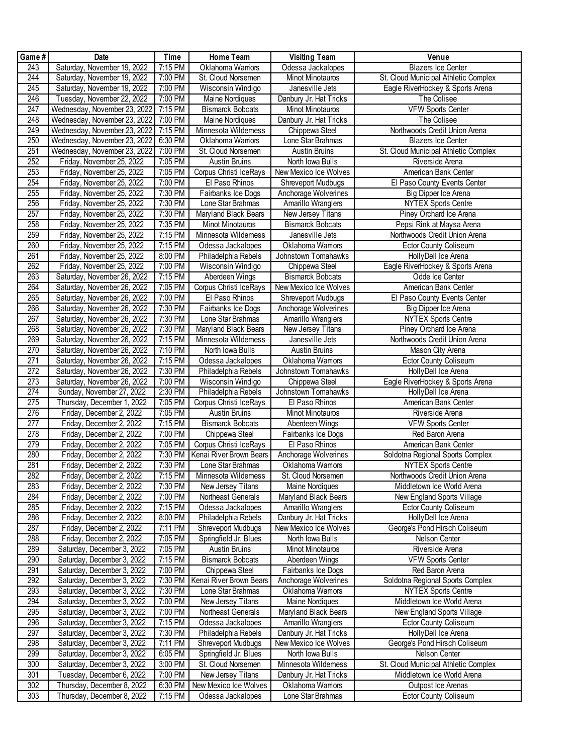| Game#            | Date                         | Time                 | Home Team                 | <b>Visiting Team</b>      | Venue                                |
|------------------|------------------------------|----------------------|---------------------------|---------------------------|--------------------------------------|
| 243              | Saturday, November 19, 2022  | 7:15 PM              | Oklahoma Wamors           | Odessa Jackalopes         | <b>Blazers Ice Center</b>            |
| 244              | Saturday, November 19, 2022  | 7:00 PM              | St. Cloud Norsemen        | Minot Minotauros          | St. Cloud Municipal Athletic Complex |
| 245              | Saturday, November 19, 2022  | 7:00 PM              | Wisconsin Windigo         | Janesville Jets           | Eagle RiverHockey & Sports Arena     |
| 246              | Tuesday, November 22, 2022   | 7:00 PM              | Maine Nordiques           | Danbury Jr. Hat Tricks    | The Colisee                          |
| 247              | Wednesday, November 23, 2022 | 7:15 PM              | <b>Bismarck Bobcats</b>   | <b>Minot Minotauros</b>   | <b>VFW Sports Center</b>             |
| 248              | Wednesday, November 23, 2022 | 7:00 PM              | <b>Maine Nordiques</b>    | Danbury Jr. Hat Tricks    | The Colisee                          |
| 249              | Wednesday, November 23, 2022 | 7:15 PM              | Minnesota Wildemess       | Chippewa Steel            | Northwoods Credit Union Arena        |
| 250              | Wednesday, November 23, 2022 | 6:30 PM              | Oklahoma Wamors           | Lone Star Brahmas         | <b>Blazers Ice Center</b>            |
| 251              | Wednesday, November 23, 2022 | 7:00 PM              | St. Cloud Norsemen        | <b>Austin Bruins</b>      | St. Cloud Municipal Athletic Complex |
| 252              | Friday, November 25, 2022    | 7:05 PM              | <b>Austin Bruins</b>      | North Iowa Bulls          | Riverside Arena                      |
| 253              | Friday, November 25, 2022    | 7:05 PM              | Corpus Christi IceRays    | New Mexico Ice Wolves     | American Bank Center                 |
| 254              | Friday, November 25, 2022    | 7:00 PM              | El Paso Rhinos            | <b>Shreveport Mudbugs</b> | El Paso County Events Center         |
| 255              | Friday, November 25, 2022    | 7:30 PM              | Fairbanks Ice Dogs        | Anchorage Wolverines      | Big Dipper Ice Arena                 |
| 256              | Friday, November 25, 2022    | 7:30 PM              | Lone Star Brahmas         | Amarillo Wranglers        | <b>NYTEX Sports Centre</b>           |
| 257              | Friday, November 25, 2022    | 7:30 PM              | Maryland Black Bears      | New Jersey Titans         | Piney Orchard Ice Arena              |
| 258              | Friday, November 25, 2022    | 7:35 PM              | Minot Minotauros          | <b>Bismarck Bobcats</b>   | Pepsi Rink at Maysa Arena            |
| 259              | Friday, November 25, 2022    | 7:15 PM              | Minnesota Wildemess       | Janesville Jets           | Northwoods Credit Union Arena        |
| 260              | Friday, November 25, 2022    | 7:15 PM              | Odessa Jackalopes         | Oklahoma Wamors           | <b>Ector County Coliseum</b>         |
| 261              | Friday, November 25, 2022    | 8:00 PM              | Philadelphia Rebels       | Johnstown Tomahawks       | HollyDell Ice Arena                  |
| 262              | Friday, November 25, 2022    | $7:00$ PM            | Wisconsin Windigo         | Chippewa Steel            | Eagle RiverHockey & Sports Arena     |
| 263              | Saturday, November 26, 2022  | 7:15 PM              | Aberdeen Wings            | <b>Bismarck Bobcats</b>   | Odde Ice Center                      |
| 264              | Saturday, November 26, 2022  | 7:05 PM              | Corpus Christi IceRays    | New Mexico Ice Wolves     | American Bank Center                 |
| 265              | Saturday, November 26, 2022  | 7:00 PM              | El Paso Rhinos            | Shreveport Mudbugs        | El Paso County Events Center         |
| 266              | Saturday, November 26, 2022  | 7:30 PM              | Fairbanks Ice Dogs        | Anchorage Wolverines      | Big Dipper Ice Arena                 |
| 267              | Saturday, November 26, 2022  | 7:30 PM              | Lone Star Brahmas         | Amarillo Wranglers        | <b>NYTEX Sports Centre</b>           |
| 268              | Saturday, November 26, 2022  | 7:30 PM              | Maryland Black Bears      | New Jersey Titans         | Piney Orchard Ice Arena              |
| 269              | Saturday, November 26, 2022  | 7:15 PM              | Minnesota Wildemess       | Janesville Jets           | Northwoods Credit Union Arena        |
| 270              | Saturday, November 26, 2022  | 7:10 PM              | North Iowa Bulls          | <b>Austin Bruins</b>      | Mason City Arena                     |
| $\overline{271}$ | Saturday, November 26, 2022  | $7:15$ PM            | Odessa Jackalopes         | Oklahoma Wamors           | <b>Ector County Coliseum</b>         |
| 272              | Saturday, November 26, 2022  | 7:30 PM              | Philadelphia Rebels       | Johnstown Tomahawks       | HollyDell Ice Arena                  |
| 273              | Saturday, November 26, 2022  | 7:00 PM              | Wisconsin Windigo         | Chippewa Steel            | Eagle RiverHockey & Sports Arena     |
| $\overline{274}$ | Sunday, November 27, 2022    | 2:30 PM              | Philadelphia Rebels       | Johnstown Tomahawks       | HollyDell Ice Arena                  |
| 275              | Thursday, December 1, 2022   | 7:05 PM              | Corpus Christi IceRays    | El Paso Rhinos            | American Bank Center                 |
| 276              | Friday, December 2, 2022     | 7:05 PM              | <b>Austin Bruins</b>      | Minot Minotauros          | Riverside Arena                      |
| 277              | Friday, December 2, 2022     | 7:15 PM              | <b>Bismarck Bobcats</b>   | Aberdeen Wings            | <b>VFW Sports Center</b>             |
| 278              | Friday, December 2, 2022     | 7:00 PM              | Chippewa Steel            | Fairbanks Ice Dogs        | Red Baron Arena                      |
| 279              | Friday, December 2, 2022     | 7:05 PM              | Corpus Christi IceRays    | El Paso Rhinos            | American Bank Center                 |
| 280              | Friday, December 2, 2022     | 7:30 PM              | Kenai River Brown Bears   | Anchorage Wolverines      | Soldotna Regional Sports Complex     |
| 281              | Friday, December 2, 2022     | 7:30 PM              | Lone Star Brahmas         | Oklahoma Wamors           | <b>NYTEX Sports Centre</b>           |
| 282              | Friday, December 2, 2022     | 7:15 PM              | Minnesota Wildemess       | St. Cloud Norsemen        | Northwoods Credit Union Arena        |
| 283              | Friday, December 2, 2022     | 7:30 PM              | New Jersey Titans         | Maine Nordiques           | Middletown Ice World Arena           |
| 284              | Friday, December 2, 2022     | 7:00 PM              | Northeast Generals        | Maryland Black Bears      | New England Sports Village           |
| 285              | Friday, December 2, 2022     | 7:15 PM              | Odessa Jackalopes         | Amarillo Wranglers        | <b>Ector County Coliseum</b>         |
| 286              | Friday, December 2, 2022     | 8:00 PM              | Philadelphia Rebels       | Danbury Jr. Hat Tricks    | HollyDell Ice Arena                  |
| 287              | Friday, December 2, 2022     | 7:11 PM              | <b>Shreveport Mudbugs</b> | New Mexico Ice Wolves     | George's Pond Hirsch Coliseum        |
| 288              | Friday, December 2, 2022     | $7:05 P\overline{M}$ | Springfield Jr. Blues     | North Iowa Bulls          | Nelson Center                        |
| 289              | Saturday, December 3, 2022   | 7:05 PM              | Austin Bruins             | Minot Minotauros          | Riverside Arena                      |
| 290              | Saturday, December 3, 2022   | 7:15 PM              | <b>Bismarck Bobcats</b>   | Aberdeen Wings            | <b>VFW Sports Center</b>             |
| 291              | Saturday, December 3, 2022   | 7:00 PM              | Chippewa Steel            | Fairbanks Ice Dogs        | Red Baron Arena                      |
| 292              | Saturday, December 3, 2022   | 7:30 PM              | Kenai River Brown Bears   | Anchorage Wolverines      | Soldotna Regional Sports Complex     |
| 293              | Saturday, December 3, 2022   | 7:30 PM              | Lone Star Brahmas         | Oklahoma Wamors           | <b>NYTEX Sports Centre</b>           |
| 294              | Saturday, December 3, 2022   | 7:00 PM              | New Jersey Titans         | Maine Nordiques           | Middletown Ice World Arena           |
| 295              | Saturday, December 3, 2022   | 7:00 PM              | Northeast Generals        | Maryland Black Bears      | New England Sports Village           |
| 296              | Saturday, December 3, 2022   | 7:15 PM              | Odessa Jackalopes         | Amarillo Wranglers        | <b>Ector County Coliseum</b>         |
| 297              | Saturday, December 3, 2022   | 7:30 PM              | Philadelphia Rebels       | Danbury Jr. Hat Tricks    | HollyDell Ice Arena                  |
| 298              | Saturday, December 3, 2022   | 7:11 PM              | Shreveport Mudbugs        | New Mexico Ice Wolves     | George's Pond Hirsch Coliseum        |
| 299              | Saturday, December 3, 2022   | 6:05 PM              | Springfield Jr. Blues     | North Iowa Bulls          | Nelson Center                        |
| 300              | Saturday, December 3, 2022   | 3:00 PM              | St. Cloud Norsemen        | Minnesota Wildemess       | St. Cloud Municipal Athletic Complex |
| 301              | Tuesday, December 6, 2022    | 7:00 PM              | New Jersey Titans         | Danbury Jr. Hat Tricks    | Middletown Ice World Arena           |
| 302              | Thursday, December 8, 2022   | 6:30 PM              | New Mexico Ice Wolves     | Oklahoma Wamors           | Outpost Ice Arenas                   |
| 303              | Thursday, December 8, 2022   | 7:15 PM              | Odessa Jackalopes         | Lone Star Brahmas         | <b>Ector County Coliseum</b>         |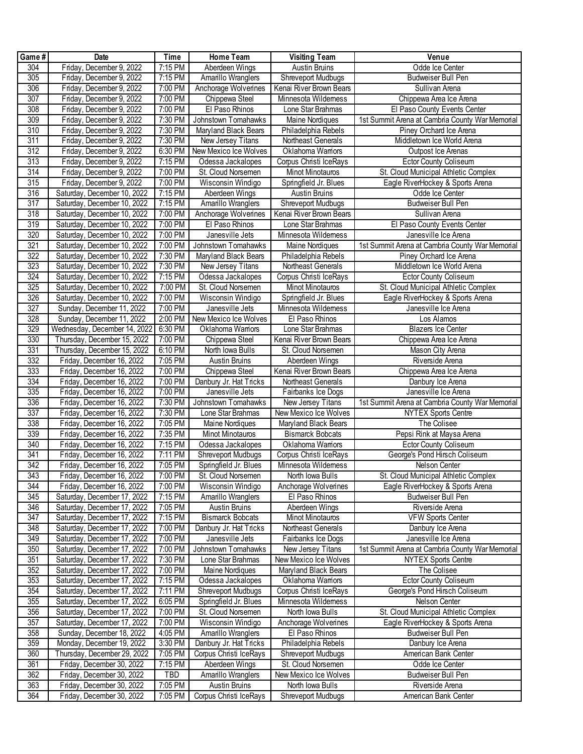| Game#            | Date                         | Time    | Home Team                 | <b>Visiting Team</b>    | Venue                                           |
|------------------|------------------------------|---------|---------------------------|-------------------------|-------------------------------------------------|
| 304              | Friday, December 9, 2022     | 7:15 PM | Aberdeen Wings            | <b>Austin Bruins</b>    | Odde Ice Center                                 |
| 305              | Friday, December 9, 2022     | 7:15 PM | Amarillo Wranglers        | Shreveport Mudbugs      | <b>Budweiser Bull Pen</b>                       |
| 306              | Friday, December 9, 2022     | 7:00 PM | Anchorage Wolverines      | Kenai River Brown Bears | Sullivan Arena                                  |
| 307              | Friday, December 9, 2022     | 7:00 PM | Chippewa Steel            | Minnesota Wildemess     | Chippewa Area Ice Arena                         |
| 308              | Friday, December 9, 2022     | 7:00 PM | El Paso Rhinos            | Lone Star Brahmas       | El Paso County Events Center                    |
| 309              | Friday, December 9, 2022     | 7:30 PM | Johnstown Tomahawks       | Maine Nordiques         | 1st Summit Arena at Cambria County War Memorial |
| 310              | Friday, December 9, 2022     | 7:30 PM | Maryland Black Bears      | Philadelphia Rebels     | Piney Orchard Ice Arena                         |
| 311              | Friday, December 9, 2022     | 7:30 PM | New Jersey Titans         | Northeast Generals      | Middletown Ice World Arena                      |
| 312              | Friday, December 9, 2022     | 6:30 PM | New Mexico Ice Wolves     | Oklahoma Wamors         | Outpost Ice Arenas                              |
| 313              | Friday, December 9, 2022     | 7:15 PM | Odessa Jackalopes         | Corpus Christi IceRays  | Ector County Coliseum                           |
| $\overline{314}$ | Friday, December 9, 2022     | 7:00 PM | St. Cloud Norsemen        | Minot Minotauros        | St. Cloud Municipal Athletic Complex            |
| 315              | Friday, December 9, 2022     | 7:00 PM | Wisconsin Windigo         | Springfield Jr. Blues   | Eagle RiverHockey & Sports Arena                |
| 316              | Saturday, December 10, 2022  | 7:15 PM | Aberdeen Wings            | <b>Austin Bruins</b>    | Odde Ice Center                                 |
| $\overline{317}$ | Saturday, December 10, 2022  | 7:15 PM | Amarillo Wranglers        | Shreveport Mudbugs      | Budweiser Bull Pen                              |
| 318              | Saturday, December 10, 2022  | 7:00 PM | Anchorage Wolverines      | Kenai River Brown Bears | Sullivan Arena                                  |
| 319              | Saturday, December 10, 2022  | 7:00 PM | El Paso Rhinos            | Lone Star Brahmas       | El Paso County Events Center                    |
| 320              | Saturday, December 10, 2022  | 7:00 PM | Janesville Jets           | Minnesota Wildemess     | Janesville Ice Arena                            |
| 321              | Saturday, December 10, 2022  | 7:00 PM | Johnstown Tomahawks       | Maine Nordiques         | 1st Summit Arena at Cambria County War Memorial |
| 322              | Saturday, December 10, 2022  | 7:30 PM | Maryland Black Bears      | Philadelphia Rebels     | Piney Orchard Ice Arena                         |
| 323              | Saturday, December 10, 2022  | 7:30 PM | New Jersey Titans         | Northeast Generals      | Middletown Ice World Arena                      |
| 324              | Saturday, December 10, 2022  | 7:15 PM | Odessa Jackalopes         | Corpus Christi IceRays  | <b>Ector County Coliseum</b>                    |
| 325              | Saturday, December 10, 2022  | 7:00 PM | St. Cloud Norsemen        | Minot Minotauros        | St. Cloud Municipal Athletic Complex            |
| 326              | Saturday, December 10, 2022  | 7:00 PM | Wisconsin Windigo         | Springfield Jr. Blues   | Eagle RiverHockey & Sports Arena                |
| 327              | Sunday, December 11, 2022    | 7:00 PM | Janesville Jets           | Minnesota Wildemess     | Janesville Ice Arena                            |
| 328              | Sunday, December 11, 2022    | 2:00 PM | New Mexico Ice Wolves     | El Paso Rhinos          | Los Alamos                                      |
| 329              | Wednesday, December 14, 2022 | 6:30 PM | Oklahoma Wamors           | Lone Star Brahmas       | <b>Blazers Ice Center</b>                       |
| 330              | Thursday, December 15, 2022  | 7:00 PM | Chippewa Steel            | Kenai River Brown Bears | Chippewa Area Ice Arena                         |
| 331              | Thursday, December 15, 2022  | 6:10 PM | North Iowa Bulls          | St. Cloud Norsemen      | Mason City Arena                                |
| 332              | Friday, December 16, 2022    | 7:05 PM | <b>Austin Bruins</b>      | Aberdeen Wings          | Riverside Arena                                 |
| 333              | Friday, December 16, 2022    | 7:00 PM | Chippewa Steel            | Kenai River Brown Bears | Chippewa Area Ice Arena                         |
| 334              | Friday, December 16, 2022    | 7:00 PM | Danbury Jr. Hat Tricks    | Northeast Generals      | Danbury Ice Arena                               |
| 335              | Friday, December 16, 2022    | 7:00 PM | Janesville Jets           | Fairbanks Ice Dogs      | Janesville Ice Arena                            |
| 336              | Friday, December 16, 2022    | 7:30 PM | Johnstown Tomahawks       | New Jersey Titans       | 1st Summit Arena at Cambria County War Memorial |
| 337              | Friday, December 16, 2022    | 7:30 PM | Lone Star Brahmas         | New Mexico Ice Wolves   | <b>NYTEX Sports Centre</b>                      |
| 338              | Friday, December 16, 2022    | 7:05 PM | Maine Nordiques           | Maryland Black Bears    | The Colisee                                     |
| 339              | Friday, December 16, 2022    | 7:35 PM | Minot Minotauros          | <b>Bismarck Bobcats</b> | Pepsi Rink at Maysa Arena                       |
| 340              | Friday, December 16, 2022    | 7:15 PM | Odessa Jackalopes         | Oklahoma Wamors         | <b>Ector County Coliseum</b>                    |
| 341              | Friday, December 16, 2022    | 7:11 PM | Shreveport Mudbugs        | Corpus Christi IceRays  | George's Pond Hirsch Coliseum                   |
| $\overline{342}$ | Friday, December 16, 2022    | 7:05 PM | Springfield Jr. Blues     | Minnesota Wildemess     | Nelson Center                                   |
| 343              | Friday, December 16, 2022    | 7:00 PM | St. Cloud Norsemen        | North Iowa Bulls        | St. Cloud Municipal Athletic Complex            |
| 344              | Friday, December 16, 2022    | 7:00 PM | Wisconsin Windigo         | Anchorage Wolverines    | Eagle RiverHockey & Sports Arena                |
| 345              | Saturday, December 17, 2022  | 7:15 PM | Amarillo Wranglers        | El Paso Rhinos          | <b>Budweiser Bull Pen</b>                       |
| 346              | Saturday, December 17, 2022  | 7:05 PM | Austin Bruins             | Aberdeen Wings          | Riverside Arena                                 |
| 347              | Saturday, December 17, 2022  | 7:15 PM | <b>Bismarck Bobcats</b>   | Minot Minotauros        | <b>VFW Sports Center</b>                        |
| 348              | Saturday, December 17, 2022  | 7:00 PM | Danbury Jr. Hat Tricks    | Northeast Generals      | Danbury Ice Arena                               |
| 349              | Saturday, December 17, 2022  | 7:00 PM | Janesville Jets           | Fairbanks Ice Dogs      | Janesville Ice Arena                            |
| 350              | Saturday, December 17, 2022  | 7:00 PM | Johnstown Tomahawks       | New Jersey Titans       | 1st Summit Arena at Cambria County War Memorial |
| 351              | Saturday, December 17, 2022  | 7:30 PM | Lone Star Brahmas         | New Mexico Ice Wolves   | <b>NYTEX Sports Centre</b>                      |
| 352              | Saturday, December 17, 2022  | 7:00 PM | Maine Nordiques           | Maryland Black Bears    | The Colisee                                     |
| 353              | Saturday, December 17, 2022  | 7:15 PM | Odessa Jackalopes         | Oklahoma Wamors         | <b>Ector County Coliseum</b>                    |
| 354              | Saturday, December 17, 2022  | 7:11 PM | <b>Shreveport Mudbugs</b> | Corpus Christi IceRays  | George's Pond Hirsch Coliseum                   |
| 355              | Saturday, December 17, 2022  | 6:05 PM | Springfield Jr. Blues     | Minnesota Wildemess     | Nelson Center                                   |
| 356              | Saturday, December 17, 2022  | 7:00 PM | St. Cloud Norsemen        | North Iowa Bulls        | St. Cloud Municipal Athletic Complex            |
| 357              | Saturday, December 17, 2022  | 7:00 PM | Wisconsin Windigo         | Anchorage Wolverines    | Eagle RiverHockey & Sports Arena                |
| 358              | Sunday, December 18, 2022    | 4:05 PM | Amarillo Wranglers        | El Paso Rhinos          | Budweiser Bull Pen                              |
| 359              | Monday, December 19, 2022    | 3:30 PM | Danbury Jr. Hat Tricks    | Philadelphia Rebels     | Danbury Ice Arena                               |
| 360              | Thursday, December 29, 2022  | 7:05 PM | Corpus Christi IceRays    | Shreveport Mudbugs      | American Bank Center                            |
| 361              | Friday, December 30, 2022    | 7:15 PM | Aberdeen Wings            | St. Cloud Norsemen      | Odde Ice Center                                 |
| 362              | Friday, December 30, 2022    | TBD     | Amarillo Wranglers        | New Mexico Ice Wolves   | <b>Budweiser Bull Pen</b>                       |
| 363              | Friday, December 30, 2022    | 7:05 PM | Austin Bruins             | North Iowa Bulls        | Riverside Arena                                 |
| 364              | Friday, December 30, 2022    | 7:05 PM | Corpus Christi IceRays    | Shreveport Mudbugs      | American Bank Center                            |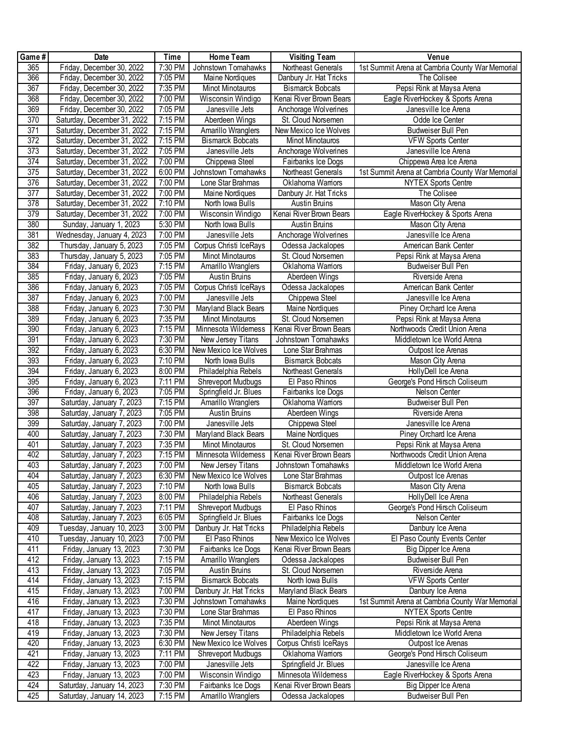| Game#            | Date                        | Time      | Home Team                     | <b>Visiting Team</b>    | Venue                                           |
|------------------|-----------------------------|-----------|-------------------------------|-------------------------|-------------------------------------------------|
| 365              | Friday, December 30, 2022   | 7:30 PM   | Johnstown Tomahawks           | Northeast Generals      | 1st Summit Arena at Cambria County War Memorial |
| 366              | Friday, December 30, 2022   | 7:05 PM   | Maine Nordiques               | Danbury Jr. Hat Tricks  | The Colisee                                     |
| 367              | Friday, December 30, 2022   | 7:35 PM   | Minot Minotauros              | <b>Bismarck Bobcats</b> | Pepsi Rink at Maysa Arena                       |
| 368              | Friday, December 30, 2022   | 7:00 PM   | Wisconsin Windigo             | Kenai River Brown Bears | Eagle RiverHockey & Sports Arena                |
| 369              | Friday, December 30, 2022   | 7:05 PM   | Janesville Jets               | Anchorage Wolverines    | Janesville Ice Arena                            |
| 370              | Saturday, December 31, 2022 | 7:15 PM   | Aberdeen Wings                | St. Cloud Norsemen      | Odde Ice Center                                 |
| 371              | Saturday, December 31, 2022 | 7:15 PM   | Amarillo Wranglers            | New Mexico Ice Wolves   | Budweiser Bull Pen                              |
| $\overline{372}$ | Saturday, December 31, 2022 | 7:15 PM   | <b>Bismarck Bobcats</b>       | <b>Minot Minotauros</b> | <b>VFW Sports Center</b>                        |
| 373              | Saturday, December 31, 2022 | 7:05 PM   | Janesville Jets               | Anchorage Wolverines    | Janesville Ice Arena                            |
| $\overline{374}$ | Saturday, December 31, 2022 | 7:00 PM   | Chippewa Steel                | Fairbanks Ice Dogs      | Chippewa Area Ice Arena                         |
| 375              | Saturday, December 31, 2022 | 6:00 PM   | Johnstown Tomahawks           | Northeast Generals      | 1st Summit Arena at Cambria County War Memorial |
| 376              | Saturday, December 31, 2022 | 7:00 PM   | Lone Star Brahmas             | Oklahoma Wamors         | <b>NYTEX Sports Centre</b>                      |
| 377              | Saturday, December 31, 2022 | 7:00 PM   | Maine Nordiques               | Danbury Jr. Hat Tricks  | The Colisee                                     |
| 378              | Saturday, December 31, 2022 | 7:10 PM   | North Iowa Bulls              | <b>Austin Bruins</b>    | Mason City Arena                                |
| 379              | Saturday, December 31, 2022 | 7:00 PM   | Wisconsin Windigo             | Kenai River Brown Bears | Eagle RiverHockey & Sports Arena                |
| 380              | Sunday, January 1, 2023     | 5:30 PM   | North Iowa Bulls              | <b>Austin Bruins</b>    | Mason City Arena                                |
| 381              | Wednesday, January 4, 2023  | 7:00 PM   | Janesville Jets               | Anchorage Wolverines    | Janesville Ice Arena                            |
| 382              | Thursday, January 5, 2023   | 7:05 PM   | Corpus Christi IceRays        | Odessa Jackalopes       | American Bank Center                            |
| 383              | Thursday, January 5, 2023   | 7:05 PM   | Minot Minotauros              | St. Cloud Norsemen      | Pepsi Rink at Maysa Arena                       |
| 384              | Friday, January 6, 2023     | 7:15 PM   | Amarillo Wranglers            | Oklahoma Wamors         | <b>Budweiser Bull Pen</b>                       |
| 385              | Friday, January 6, 2023     | 7:05 PM   | Austin Bruins                 | Aberdeen Wings          | Riverside Arena                                 |
| 386              | Friday, January 6, 2023     | 7:05 PM   | Corpus Christi IceRays        | Odessa Jackalopes       | American Bank Center                            |
| 387              | Friday, January 6, 2023     | 7:00 PM   | Janesville Jets               | Chippewa Steel          | Janesville Ice Arena                            |
| 388              | Friday, January 6, 2023     | 7:30 PM   | Maryland Black Bears          | Maine Nordiques         | Piney Orchard Ice Arena                         |
| 389              | Friday, January 6, 2023     | 7:35 PM   | Minot Minotauros              | St. Cloud Norsemen      | Pepsi Rink at Maysa Arena                       |
| 390              | Friday, January 6, 2023     | $7:15$ PM | Minnesota Wildemess           | Kenai River Brown Bears | Northwoods Credit Union Arena                   |
| 391              | Friday, January 6, 2023     | 7:30 PM   | New Jersey Titans             | Johnstown Tomahawks     | Middletown Ice World Arena                      |
| 392              | Friday, January 6, 2023     | 6:30 PM   | New Mexico Ice Wolves         | Lone Star Brahmas       | Outpost Ice Arenas                              |
| 393              | Friday, January 6, 2023     | $7:10$ PM | North Iowa Bulls              | <b>Bismarck Bobcats</b> | Mason City Arena                                |
| 394              | Friday, January 6, 2023     | 8:00 PM   | Philadelphia Rebels           | Northeast Generals      | HollyDell Ice Arena                             |
| 395              | Friday, January 6, 2023     | 7:11 PM   | Shreveport Mudbugs            | El Paso Rhinos          | George's Pond Hirsch Coliseum                   |
| 396              | Friday, January 6, 2023     | 7:05 PM   | Springfield Jr. Blues         | Fairbanks Ice Dogs      | Nelson Center                                   |
| 397              | Saturday, January 7, 2023   | 7:15 PM   | Amarillo Wranglers            | Oklahoma Wamors         | Budweiser Bull Pen                              |
| 398              | Saturday, January 7, 2023   | 7:05 PM   | Austin Bruins                 | Aberdeen Wings          | Riverside Arena                                 |
| 399              | Saturday, January 7, 2023   | $7:00$ PM | Janesville Jets               | Chippewa Steel          | Janesville Ice Arena                            |
| 400              | Saturday, January 7, 2023   | 7:30 PM   | Maryland Black Bears          | Maine Nordiques         | Piney Orchard Ice Arena                         |
| 401              | Saturday, January 7, 2023   | 7:35 PM   | Minot Minotauros              | St. Cloud Norsemen      | Pepsi Rink at Maysa Arena                       |
| 402              | Saturday, January 7, 2023   | 7:15 PM   | Minnesota Wildemess           | Kenai River Brown Bears | Northwoods Credit Union Arena                   |
| 403              | Saturday, January 7, 2023   | 7:00 PM   | New Jersey Titans             | Johnstown Tomahawks     | Middletown Ice World Arena                      |
| 404              | Saturday, January 7, 2023   |           | 6:30 PM New Mexico Ice Wolves | Lone Star Brahmas       | Outpost Ice Arenas                              |
| 405              | Saturday, January 7, 2023   | 7:10 PM   | North Iowa Bulls              | <b>Bismarck Bobcats</b> | Mason City Arena                                |
| 406              | Saturday, January 7, 2023   | 8:00 PM   | Philadelphia Rebels           | Northeast Generals      | HollyDell Ice Arena                             |
| 407              | Saturday, January 7, 2023   | 7:11 PM   | Shreveport Mudbugs            | El Paso Rhinos          | George's Pond Hirsch Coliseum                   |
| 408              | Saturday, January 7, 2023   | 6:05 PM   | Springfield Jr. Blues         | Fairbanks Ice Dogs      | Nelson Center                                   |
| 409              | Tuesday, January 10, 2023   | 3:00 PM   | Danbury Jr. Hat Tricks        | Philadelphia Rebels     | Danbury Ice Arena                               |
| 410              | Fuesday, January 10, 2023   | 7:00 PM   | El Paso Rhinos                | New Mexico Ice Wolves   | El Paso County Events Center                    |
| 411              | Friday, January 13, 2023    | 7:30 PM   | Fairbanks Ice Dogs            | Kenai River Brown Bears | Big Dipper Ice Arena                            |
| 412              | Friday, January 13, 2023    | 7:15 PM   | Amarillo Wranglers            | Odessa Jackalopes       | Budweiser Bull Pen                              |
| 413              | Friday, January 13, 2023    | 7:05 PM   | Austin Bruins                 | St. Cloud Norsemen      | Riverside Arena                                 |
| 414              | Friday, January 13, 2023    | 7:15 PM   | <b>Bismarck Bobcats</b>       | North Iowa Bulls        | <b>VFW Sports Center</b>                        |
| 415              | Friday, January 13, 2023    | 7:00 PM   | Danbury Jr. Hat Tricks        | Maryland Black Bears    | Danbury Ice Arena                               |
| 416              | Friday, January 13, 2023    | 7:30 PM   | Johnstown Tomahawks           | Maine Nordiques         | 1st Summit Arena at Cambria County War Memorial |
| 417              | Friday, January 13, 2023    | 7:30 PM   | Lone Star Brahmas             | El Paso Rhinos          | <b>NYTEX Sports Centre</b>                      |
| 418              | Friday, January 13, 2023    | 7:35 PM   | Minot Minotauros              | Aberdeen Wings          | Pepsi Rink at Maysa Arena                       |
| 419              | Friday, January 13, 2023    | 7:30 PM   | New Jersey Titans             | Philadelphia Rebels     | Middletown Ice World Arena                      |
| 420              | Friday, January 13, 2023    | 6:30 PM   | New Mexico Ice Wolves         | Corpus Christi IceRays  | Outpost Ice Arenas                              |
| 421              | Friday, January 13, 2023    | 7:11 PM   | Shreveport Mudbugs            | Oklahoma Wamors         | George's Pond Hirsch Coliseum                   |
| 422              | Friday, January 13, 2023    | 7:00 PM   | Janesville Jets               | Springfield Jr. Blues   | Janesville Ice Arena                            |
| 423              | Friday, January 13, 2023    | 7:00 PM   | Wisconsin Windigo             | Minnesota Wildemess     | Eagle RiverHockey & Sports Arena                |
| 424              | Saturday, January 14, 2023  | 7:30 PM   | Fairbanks Ice Dogs            | Kenai River Brown Bears | Big Dipper Ice Arena                            |
| 425              | Saturday, January 14, 2023  | 7:15 PM   | Amarillo Wranglers            | Odessa Jackalopes       | Budweiser Bull Pen                              |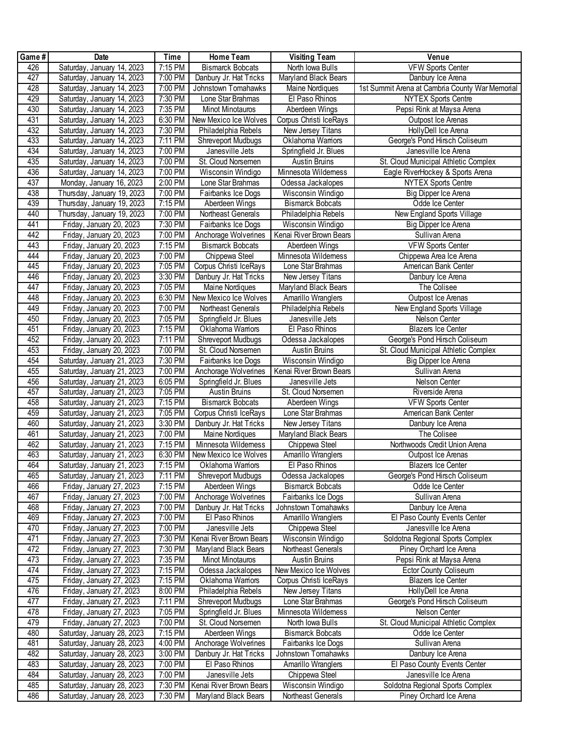| Game#      | Date                                                 | Time               | Home Team                                   | <b>Visiting Team</b>                          | Venue                                           |
|------------|------------------------------------------------------|--------------------|---------------------------------------------|-----------------------------------------------|-------------------------------------------------|
| 426        | Saturday, January 14, 2023                           | 7:15 PM            | <b>Bismarck Bobcats</b>                     | North Iowa Bulls                              | <b>VFW Sports Center</b>                        |
| 427        | Saturday, January 14, 2023                           | 7:00 PM            | Danbury Jr. Hat Tricks                      | Maryland Black Bears                          | Danbury Ice Arena                               |
| 428        | Saturday, January 14, 2023                           | 7:00 PM            | Johnstown Tomahawks                         | <b>Maine Nordiques</b>                        | 1st Summit Arena at Cambria County War Memorial |
| 429        | Saturday, January 14, 2023                           | 7:30 PM            | Lone Star Brahmas                           | El Paso Rhinos                                | <b>NYTEX Sports Centre</b>                      |
| 430        | Saturday, January 14, 2023                           | 7:35 PM            | <b>Minot Minotauros</b>                     | Aberdeen Wings                                | Pepsi Rink at Maysa Arena                       |
| 431        | Saturday, January 14, 2023                           | 6:30 PM            | New Mexico Ice Wolves                       | Corpus Christi IceRays                        | Outpost Ice Arenas                              |
| 432        | Saturday, January 14, 2023                           | 7:30 PM            | Philadelphia Rebels                         | New Jersey Titans                             | HollyDell Ice Arena                             |
| 433        | Saturday, January 14, 2023                           | 7:11 PM            | Shreveport Mudbugs                          | Oklahoma Wamors                               | George's Pond Hirsch Coliseum                   |
| 434        | Saturday, January 14, 2023                           | 7:00 PM            | Janesville Jets                             | Springfield Jr. Blues                         | Janesville Ice Arena                            |
| 435        | Saturday, January 14, 2023                           | 7:00 PM            | St. Cloud Norsemen                          | <b>Austin Bruins</b>                          | St. Cloud Municipal Athletic Complex            |
| 436        | Saturday, January 14, 2023                           | 7:00 PM            | Wisconsin Windigo                           | Minnesota Wildemess                           | Eagle RiverHockey & Sports Arena                |
| 437        | Monday, January 16, 2023                             | 2:00 PM            | Lone Star Brahmas                           | Odessa Jackalopes                             | <b>NYTEX Sports Centre</b>                      |
| 438        | Thursday, January 19, 2023                           | 7:00 PM            | Fairbanks Ice Dogs                          | Wisconsin Windigo                             | Big Dipper Ice Arena                            |
| 439        | Thursday, January 19, 2023                           | 7:15 PM            | Aberdeen Wings                              | <b>Bismarck Bobcats</b>                       | Odde Ice Center                                 |
| 440        | Thursday, January 19, 2023                           | 7:00 PM            | Northeast Generals                          | Philadelphia Rebels                           | New England Sports Village                      |
| 441        | Friday, January 20, 2023                             | 7:30 PM            | Fairbanks Ice Dogs                          | Wisconsin Windigo                             | Big Dipper Ice Arena                            |
| 442        | Friday, January 20, 2023                             | 7:00 PM            | Anchorage Wolverines                        | Kenai River Brown Bears                       | Sullivan Arena                                  |
| 443        | Friday, January 20, 2023                             | 7:15 PM            | <b>Bismarck Bobcats</b>                     | Aberdeen Wings                                | <b>VFW Sports Center</b>                        |
| 444        | Friday, January 20, 2023                             | 7:00 PM            | Chippewa Steel                              | Minnesota Wildemess                           | Chippewa Area Ice Arena                         |
| 445        | Friday, January 20, 2023                             | 7:05 PM            | Corpus Christi IceRays                      | Lone Star Brahmas                             | American Bank Center                            |
| 446        | Friday, January 20, 2023                             | 3:30 PM            | Danbury Jr. Hat Tricks                      | New Jersey Titans                             | Danbury Ice Arena                               |
| 447        | Friday, January 20, 2023                             | 7:05 PM            | Maine Nordiques                             | Maryland Black Bears                          | The Colisee                                     |
| 448<br>449 | Friday, January 20, 2023                             | 6:30 PM            | New Mexico Ice Wolves                       | Amarillo Wranglers                            | Outpost Ice Arenas                              |
| 450        | Friday, January 20, 2023<br>Friday, January 20, 2023 | 7:00 PM<br>7:05 PM | Northeast Generals<br>Springfield Jr. Blues | Philadelphia Rebels<br>Janesville Jets        | New England Sports Village<br>Nelson Center     |
| 451        | Friday, January 20, 2023                             | 7:15 PM            | Oklahoma Warriors                           | El Paso Rhinos                                | <b>Blazers Ice Center</b>                       |
| 452        | Friday, January 20, 2023                             | 7:11 PM            | Shreveport Mudbugs                          | Odessa Jackalopes                             | George's Pond Hirsch Coliseum                   |
| 453        | Friday, January 20, 2023                             | 7:00 PM            | St. Cloud Norsemen                          | <b>Austin Bruins</b>                          | St. Cloud Municipal Athletic Complex            |
| 454        | Saturday, January 21, 2023                           | 7:30 PM            | Fairbanks Ice Dogs                          | Wisconsin Windigo                             | Big Dipper Ice Arena                            |
| 455        | Saturday, January 21, 2023                           | 7:00 PM            | Anchorage Wolverines                        | Kenai River Brown Bears                       | Sullivan Arena                                  |
| 456        | Saturday, January 21, 2023                           | 6:05 PM            | Springfield Jr. Blues                       | Janesville Jets                               | Nelson Center                                   |
| 457        | Saturday, January 21, 2023                           | 7:05 PM            | <b>Austin Bruins</b>                        | St. Cloud Norsemen                            | Riverside Arena                                 |
| 458        | Saturday, January 21, 2023                           | 7:15 PM            | <b>Bismarck Bobcats</b>                     | Aberdeen Wings                                | VFW Sports Center                               |
| 459        | Saturday, January 21, 2023                           | 7:05 PM            | Corpus Christi IceRays                      | Lone Star Brahmas                             | American Bank Center                            |
| 460        | Saturday, January 21, 2023                           | 3:30 PM            | Danbury Jr. Hat Tricks                      | New Jersey Titans                             | Danbury Ice Arena                               |
| 461        | Saturday, January 21, 2023                           | 7:00 PM            | Maine Nordiques                             | Maryland Black Bears                          | The Colisee                                     |
| 462        | Saturday, January 21, 2023                           | 7:15 PM            | Minnesota Wildemess                         | Chippewa Steel                                | Northwoods Credit Union Arena                   |
| 463        | Saturday, January 21, 2023                           | 6:30 PM            | New Mexico Ice Wolves                       | Amarillo Wranglers                            | Outpost Ice Arenas                              |
| 464        | Saturday, January 21, 2023                           | 7:15 PM            | Oklahoma Wamors                             | El Paso Rhinos                                | <b>Blazers Ice Center</b>                       |
| 465        | Saturday, January 21, 2023                           | 7:11 PM<br>7:15 PM | <b>Shreveport Mudbugs</b>                   | Odessa Jackalopes                             | George's Pond Hirsch Coliseum                   |
| 466<br>467 | Friday, January 27, 2023<br>Friday, January 27, 2023 | 7:00 PM            | Aberdeen Wings<br>Anchorage Wolverines      | <b>Bismarck Bobcats</b><br>Fairbanks Ice Dogs | Odde Ice Center<br>Sullivan Arena               |
| 468        | Friday, January 27, 2023                             | 7:00 PM            | Danbury Jr. Hat Tricks                      | Johnstown Tomahawks                           | Danbury Ice Arena                               |
| 469        | Friday, January 27, 2023                             | 7:00 PM            | El Paso Rhinos                              | Amarillo Wranglers                            | El Paso County Events Center                    |
| 470        | Friday, January 27, 2023                             | 7:00 PM            | Janesville Jets                             | Chippewa Steel                                | Janesville Ice Arena                            |
| 471        | Friday, January 27, 2023                             | 7:30 PM            | Kenai River Brown Bears                     | Wisconsin Windigo                             | Soldotna Regional Sports Complex                |
| 472        | Friday, January 27, 2023                             | 7:30 PM            | Maryland Black Bears                        | Northeast Generals                            | Piney Orchard Ice Arena                         |
| 473        | Friday, January 27, 2023                             | 7:35 PM            | Minot Minotauros                            | <b>Austin Bruins</b>                          | Pepsi Rink at Maysa Arena                       |
| 474        | Friday, January 27, 2023                             | 7:15 PM            | Odessa Jackalopes                           | New Mexico Ice Wolves                         | Ector County Coliseum                           |
| 475        | Friday, January 27, 2023                             | 7:15 PM            | Oklahoma Wamors                             | Corpus Christi IceRays                        | <b>Blazers Ice Center</b>                       |
| 476        | Friday, January 27, 2023                             | $8:00$ PM          | Philadelphia Rebels                         | New Jersey Titans                             | HollyDell Ice Arena                             |
| 477        | Friday, January 27, 2023                             | 7:11 PM            | <b>Shreveport Mudbugs</b>                   | Lone Star Brahmas                             | George's Pond Hirsch Coliseum                   |
| 478        | Friday, January 27, 2023                             | 7:05 PM            | Springfield Jr. Blues                       | Minnesota Wildemess                           | Nelson Center                                   |
| 479        | Friday, January 27, 2023                             | 7:00 PM            | St. Cloud Norsemen                          | North Iowa Bulls                              | St. Cloud Municipal Athletic Complex            |
| 480        | Saturday, January 28, 2023                           | 7:15 PM            | Aberdeen Wings                              | <b>Bismarck Bobcats</b>                       | Odde Ice Center                                 |
| 481        | Saturday, January 28, 2023                           | 4:00 PM            | Anchorage Wolverines                        | Fairbanks Ice Dogs                            | Sullivan Arena                                  |
| 482        | Saturday, January 28, 2023                           | 3:00 PM            | Danbury Jr. Hat Tricks                      | Johnstown Tomahawks                           | Danbury Ice Arena                               |
| 483        | Saturday, January 28, 2023                           | 7:00 PM            | El Paso Rhinos                              | Amarillo Wranglers                            | El Paso County Events Center                    |
| 484        | Saturday, January 28, 2023                           | 7:00 PM            | Janesville Jets                             | Chippewa Steel                                | Janesville Ice Arena                            |
| 485<br>486 | Saturday, January 28, 2023                           | 7:30 PM            | Kenai River Brown Bears                     | Wisconsin Windigo                             | Soldotna Regional Sports Complex                |
|            | Saturday, January 28, 2023                           | 7:30 PM            | Maryland Black Bears                        | Northeast Generals                            | Piney Orchard Ice Arena                         |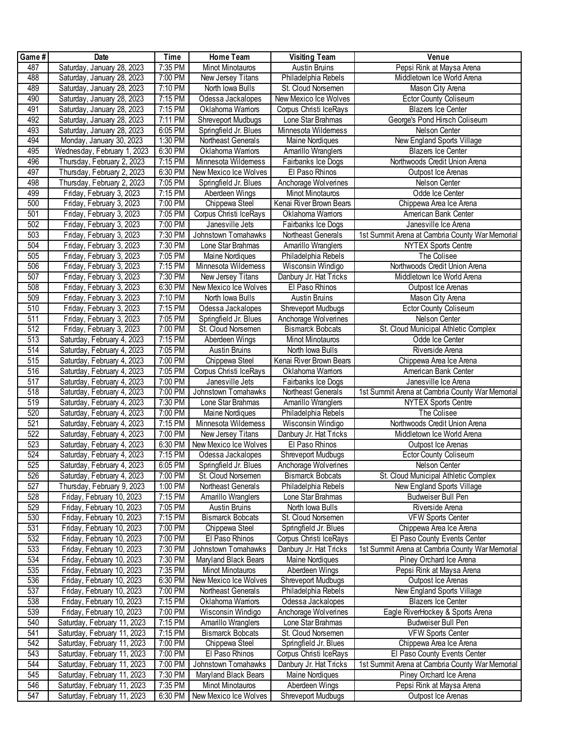| Game#            | Date                                                   | <b>Time</b>        | Home Team                                   | <b>Visiting Team</b>                      | Venue                                                                      |
|------------------|--------------------------------------------------------|--------------------|---------------------------------------------|-------------------------------------------|----------------------------------------------------------------------------|
| 487              | Saturday, January 28, 2023                             | 7:35 PM            | Minot Minotauros                            | Austin Bruins                             | Pepsi Rink at Maysa Arena                                                  |
| 488              | Saturday, January 28, 2023                             | 7:00 PM            | New Jersey Titans                           | Philadelphia Rebels                       | Middletown Ice World Arena                                                 |
| 489              | Saturday, January 28, 2023                             | 7:10 PM            | North Iowa Bulls                            | St. Cloud Norsemen                        | Mason City Arena                                                           |
| 490              | Saturday, January 28, 2023                             | 7:15 PM            | Odessa Jackalopes                           | New Mexico Ice Wolves                     | <b>Ector County Coliseum</b>                                               |
| 491              | Saturday, January 28, 2023                             | 7:15 PM            | Oklahoma Wamors                             | Corpus Christi IceRays                    | <b>Blazers Ice Center</b>                                                  |
| 492              | Saturday, January 28, 2023                             | 7:11 PM            | Shreveport Mudbugs                          | Lone Star Brahmas                         | George's Pond Hirsch Coliseum                                              |
| 493              | Saturday, January 28, 2023                             | 6:05 PM            | Springfield Jr. Blues                       | Minnesota Wildemess                       | Nelson Center                                                              |
| 494              | Monday, January 30, 2023                               | 1:30 PM            | Northeast Generals                          | Maine Nordiques                           | New England Sports Village                                                 |
| 495              | Wednesday, February 1, 2023                            | 6:30 PM            | Oklahoma Wamors                             | Amarillo Wranglers                        | <b>Blazers Ice Center</b>                                                  |
| 496              | Thursday, February 2, 2023                             | 7:15 PM            | Minnesota Wildemess                         | Fairbanks Ice Dogs                        | Northwoods Credit Union Arena                                              |
| 497              | Thursday, February 2, 2023                             | 6:30 PM            | New Mexico Ice Wolves                       | El Paso Rhinos                            | Outpost Ice Arenas                                                         |
| 498              | Thursday, February 2, 2023                             | 7:05 PM            | Springfield Jr. Blues                       | Anchorage Wolverines                      | Nelson Center                                                              |
| 499              | Friday, February 3, 2023                               | 7:15 PM            | Aberdeen Wings                              | Minot Minotauros                          | Odde Ice Center                                                            |
| 500              | Friday, February 3, 2023                               | 7:00 PM            | Chippewa Steel                              | Kenai River Brown Bears                   | Chippewa Area Ice Arena                                                    |
| 501              | Friday, February 3, 2023                               | 7:05 PM            | Corpus Christi IceRays                      | Oklahoma Wamors                           | American Bank Center                                                       |
| 502              | Friday, February 3, 2023                               | 7:00 PM            | Janesville Jets                             | Fairbanks Ice Dogs                        | Janesville Ice Arena                                                       |
| 503              | Friday, February 3, 2023                               | 7:30 PM            | Johnstown Tomahawks                         | Northeast Generals                        | 1st Summit Arena at Cambria County War Memorial                            |
| 504              | Friday, February 3, 2023                               | 7:30 PM            | Lone Star Brahmas                           | Amarillo Wranglers                        | <b>NYTEX Sports Centre</b>                                                 |
| 505              | Friday, February 3, 2023                               | 7:05 PM            | <b>Maine Nordiques</b>                      | Philadelphia Rebels                       | The Colisee                                                                |
| 506              | Friday, February 3, 2023                               | 7:15 PM            | Minnesota Wildemess                         | Wisconsin Windigo                         | Northwoods Credit Union Arena                                              |
| 507              | Friday, February 3, 2023                               | 7:30 PM            | New Jersey Titans                           | Danbury Jr. Hat Tricks                    | Middletown Ice World Arena                                                 |
| 508              | Friday, February 3, 2023                               | 6:30 PM            | New Mexico Ice Wolves                       | El Paso Rhinos                            | Outpost Ice Arenas                                                         |
| 509              | Friday, February 3, 2023                               | 7:10 PM            | North Iowa Bulls                            | <b>Austin Bruins</b>                      | Mason City Arena                                                           |
| 510              | Friday, February 3, 2023                               | 7:15 PM            | Odessa Jackalopes                           | Shreveport Mudbugs                        | <b>Ector County Coliseum</b>                                               |
| 511              | Friday, February 3, 2023                               | 7:05 PM            | Springfield Jr. Blues                       | Anchorage Wolverines                      | Nelson Center                                                              |
| 512              | Friday, February 3, 2023                               | 7:00 PM            | St. Cloud Norsemen                          | <b>Bismarck Bobcats</b>                   | St. Cloud Municipal Athletic Complex                                       |
| 513              | Saturday, February 4, 2023                             | 7:15 PM            | Aberdeen Wings                              | Minot Minotauros                          | Odde Ice Center                                                            |
| $\overline{514}$ | Saturday, February 4, 2023                             | 7:05 PM            | <b>Austin Bruins</b>                        | North Iowa Bulls                          | Riverside Arena                                                            |
| 515              | Saturday, February 4, 2023                             | 7:00 PM            | Chippewa Steel                              | Kenai River Brown Bears                   | Chippewa Area Ice Arena                                                    |
| 516              | Saturday, February 4, 2023                             | 7:05 PM            | Corpus Christi IceRays                      | Oklahoma Wamors                           | American Bank Center                                                       |
| 517              | Saturday, February 4, 2023                             | 7:00 PM            | Janesville Jets                             | Fairbanks Ice Dogs                        | Janesville Ice Arena                                                       |
| 518              | Saturday, February 4, 2023                             | 7:00 PM            | Johnstown Tomahawks                         | Northeast Generals                        | 1st Summit Arena at Cambria County War Memorial                            |
| 519              | Saturday, February 4, 2023                             | 7:30 PM            | Lone Star Brahmas                           | Amarillo Wranglers                        | <b>NYTEX Sports Centre</b>                                                 |
| 520              | Saturday, February 4, 2023                             | 7:00 PM            | Maine Nordiques                             | Philadelphia Rebels                       | The Colisee                                                                |
| 521              | Saturday, February 4, 2023                             | 7:15 PM            | Minnesota Wildemess                         | Wisconsin Windigo                         | Northwoods Credit Union Arena                                              |
| 522              | Saturday, February 4, 2023                             | 7:00 PM            | New Jersey Titans                           | Danbury Jr. Hat Tricks                    | Middletown Ice World Arena                                                 |
| 523              | Saturday, February 4, 2023                             | 6:30 PM            | New Mexico Ice Wolves                       | El Paso Rhinos                            | Outpost Ice Arenas                                                         |
| 524              | Saturday, February 4, 2023                             | 7:15 PM            | Odessa Jackalopes                           | Shreveport Mudbugs                        | <b>Ector County Coliseum</b>                                               |
| 525              | Saturday, February 4, 2023                             | 6:05 PM            | Springfield Jr. Blues                       | Anchorage Wolverines                      | Nelson Center                                                              |
| 526              | Saturday, February 4, 2023                             | 7:00 PM            | St. Cloud Norsemen                          | <b>Bismarck Bobcats</b>                   | St. Cloud Municipal Athletic Complex                                       |
| 527              | Thursday, February 9, 2023                             | 1:00 PM            | Northeast Generals                          | Philadelphia Rebels                       | New England Sports Village                                                 |
| 528              | Friday, February 10, 2023                              | 7:15 PM            | Amarillo Wranglers                          | Lone Star Brahmas                         | Budweiser Bull Pen                                                         |
| 529              | Friday, February 10, 2023                              | 7:05 PM            | Austin Bruins                               | North Iowa Bulls                          | Riverside Arena                                                            |
| 530              | Friday, February 10, 2023                              | 7:15 PM            | <b>Bismarck Bobcats</b>                     | St. Cloud Norsemen                        | <b>VFW Sports Center</b>                                                   |
| 531<br>532       | Friday, February 10, 2023<br>Friday, February 10, 2023 | 7:00 PM            | Chippewa Steel<br>El Paso Rhinos            | Springfield Jr. Blues                     | Chippewa Area Ice Arena                                                    |
|                  |                                                        | 7:00 PM            |                                             | Corpus Christi IceRays                    | El Paso County Events Center                                               |
| 533<br>534       | Friday, February 10, 2023<br>Friday, February 10, 2023 | 7:30 PM<br>7:30 PM | Johnstown Tomahawks<br>Maryland Black Bears | Danbury Jr. Hat Tricks<br>Maine Nordiques | 1st Summit Arena at Cambria County War Memorial<br>Piney Orchard Ice Arena |
| 535              |                                                        |                    |                                             |                                           | Pepsi Rink at Maysa Arena                                                  |
| 536              | Friday, February 10, 2023<br>Friday, February 10, 2023 | 7:35 PM<br>6:30 PM | Minot Minotauros<br>New Mexico Ice Wolves   | Aberdeen Wings<br>Shreveport Mudbugs      | Outpost Ice Arenas                                                         |
| 537              | Friday, February 10, 2023                              | 7:00 PM            | Northeast Generals                          | Philadelphia Rebels                       | New England Sports Village                                                 |
| 538              | Friday, February 10, 2023                              | 7:15 PM            | Oklahoma Wamors                             | Odessa Jackalopes                         | <b>Blazers Ice Center</b>                                                  |
| 539              | Friday, February 10, 2023                              | 7:00 PM            | Wisconsin Windigo                           | Anchorage Wolverines                      | Eagle RiverHockey & Sports Arena                                           |
| 540              | Saturday, February 11, 2023                            | 7:15 PM            | Amarillo Wranglers                          | Lone Star Brahmas                         | Budweiser Bull Pen                                                         |
| 541              | Saturday, February 11, 2023                            | 7:15 PM            | <b>Bismarck Bobcats</b>                     | St. Cloud Norsemen                        | <b>VFW Sports Center</b>                                                   |
| 542              | Saturday, February 11, 2023                            | 7:00 PM            | Chippewa Steel                              | Springfield Jr. Blues                     | Chippewa Area Ice Arena                                                    |
| 543              | Saturday, February 11, 2023                            | 7:00 PM            | El Paso Rhinos                              | Corpus Christi IceRays                    | El Paso County Events Center                                               |
| 544              | Saturday, February 11, 2023                            | 7:00 PM            | Johnstown Tomahawks                         | Danbury Jr. Hat Tricks                    | 1st Summit Arena at Cambria County War Memorial                            |
| 545              | Saturday, February 11, 2023                            | 7:30 PM            | Maryland Black Bears                        | Maine Nordiques                           | Piney Orchard Ice Arena                                                    |
| 546              | Saturday, February 11, 2023                            | 7:35 PM            | Minot Minotauros                            | Aberdeen Wings                            | Pepsi Rink at Maysa Arena                                                  |
| 547              | Saturday, February 11, 2023                            | 6:30 PM            | New Mexico Ice Wolves                       | Shreveport Mudbugs                        | Outpost Ice Arenas                                                         |
|                  |                                                        |                    |                                             |                                           |                                                                            |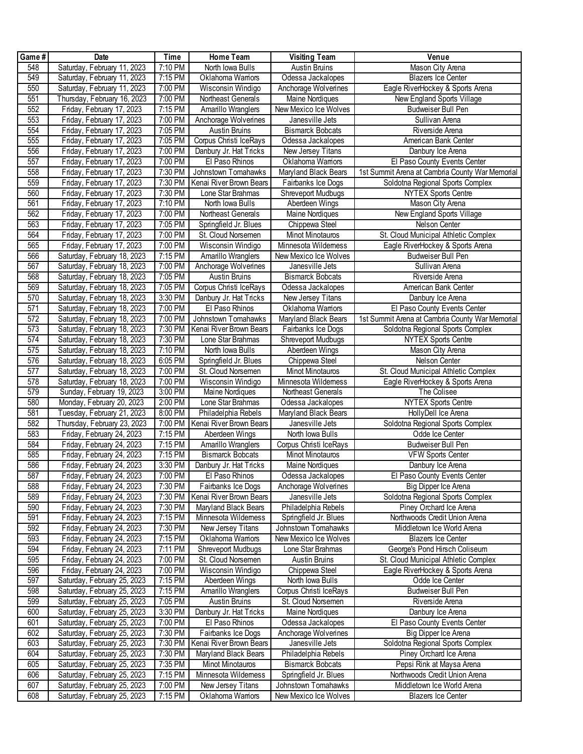| Game# | <b>Date</b>                 | Time                 | Home Team               | <b>Visiting Team</b>    | Venue                                           |
|-------|-----------------------------|----------------------|-------------------------|-------------------------|-------------------------------------------------|
| 548   | Saturday, February 11, 2023 | 7:10 PM              | North Iowa Bulls        | <b>Austin Bruins</b>    | Mason City Arena                                |
| 549   | Saturday, February 11, 2023 | 7:15 PM              | Oklahoma Wamors         | Odessa Jackalopes       | <b>Blazers Ice Center</b>                       |
| 550   | Saturday, February 11, 2023 | 7:00 PM              | Wisconsin Windigo       | Anchorage Wolverines    | Eagle RiverHockey & Sports Arena                |
| 551   | Thursday, February 16, 2023 | 7:00 PM              | Northeast Generals      | Maine Nordiques         | New England Sports Village                      |
| 552   | Friday, February 17, 2023   | 7:15 PM              | Amarillo Wranglers      | New Mexico Ice Wolves   | Budweiser Bull Pen                              |
| 553   | Friday, February 17, 2023   | 7:00 PM              | Anchorage Wolverines    | Janesville Jets         | Sullivan Arena                                  |
| 554   | Friday, February 17, 2023   | 7:05 PM              | Austin Bruins           | <b>Bismarck Bobcats</b> | Riverside Arena                                 |
| 555   | Friday, February 17, 2023   | 7:05 PM              | Corpus Christi IceRays  | Odessa Jackalopes       | American Bank Center                            |
| 556   | Friday, February 17, 2023   | 7:00 PM              | Danbury Jr. Hat Tricks  | New Jersey Titans       | Danbury Ice Arena                               |
| 557   | Friday, February 17, 2023   | 7:00 PM              | El Paso Rhinos          | Oklahoma Wamors         | El Paso County Events Center                    |
| 558   | Friday, February 17, 2023   | 7:30 PM              | Johnstown Tomahawks     | Maryland Black Bears    | 1st Summit Arena at Cambria County War Memorial |
| 559   | Friday, February 17, 2023   | 7:30 PM              | Kenai River Brown Bears | Fairbanks Ice Dogs      | Soldotna Regional Sports Complex                |
| 560   | Friday, February 17, 2023   | 7:30 PM              | Lone Star Brahmas       | Shreveport Mudbugs      | <b>NYTEX Sports Centre</b>                      |
| 561   | Friday, February 17, 2023   | 7:10 PM              | North Iowa Bulls        | Aberdeen Wings          | Mason City Arena                                |
| 562   | Friday, February 17, 2023   | 7:00 PM              | Northeast Generals      | Maine Nordiques         | New England Sports Village                      |
| 563   | Friday, February 17, 2023   | 7:05 PM              | Springfield Jr. Blues   | Chippewa Steel          | Nelson Center                                   |
| 564   | Friday, February 17, 2023   | 7:00 PM              | St. Cloud Norsemen      | Minot Minotauros        | St. Cloud Municipal Athletic Complex            |
| 565   | Friday, February 17, 2023   | 7:00 PM              | Wisconsin Windigo       | Minnesota Wildemess     | Eagle RiverHockey & Sports Arena                |
| 566   | Saturday, February 18, 2023 | 7:15 PM              | Amarillo Wranglers      | New Mexico Ice Wolves   | Budweiser Bull Pen                              |
| 567   | Saturday, February 18, 2023 | 7:00 PM              | Anchorage Wolverines    | Janesville Jets         | Sullivan Arena                                  |
| 568   | Saturday, February 18, 2023 | 7:05 PM              | <b>Austin Bruins</b>    | <b>Bismarck Bobcats</b> | Riverside Arena                                 |
| 569   | Saturday, February 18, 2023 | 7:05 PM              | Corpus Christi IceRays  | Odessa Jackalopes       | American Bank Center                            |
| 570   | Saturday, February 18, 2023 | 3:30 PM              | Danbury Jr. Hat Tricks  | New Jersey Titans       | Danbury Ice Arena                               |
| 571   | Saturday, February 18, 2023 | 7:00 PM              | El Paso Rhinos          | Oklahoma Wamors         | El Paso County Events Center                    |
| 572   | Saturday, February 18, 2023 | 7:00 PM              | Johnstown Tomahawks     | Maryland Black Bears    | 1st Summit Arena at Cambria County War Memorial |
| 573   | Saturday, February 18, 2023 | 7:30 PM              | Kenai River Brown Bears | Fairbanks Ice Dogs      | Soldotna Regional Sports Complex                |
| 574   | Saturday, February 18, 2023 | 7:30 PM              | Lone Star Brahmas       | Shreveport Mudbugs      | <b>NYTEX Sports Centre</b>                      |
| 575   | Saturday, February 18, 2023 | 7:10 PM              | North Iowa Bulls        | Aberdeen Wings          | Mason City Arena                                |
| 576   | Saturday, February 18, 2023 | $6:05$ PM            | Springfield Jr. Blues   | Chippewa Steel          | Nelson Center                                   |
| 577   | Saturday, February 18, 2023 | 7:00 PM              | St. Cloud Norsemen      | Minot Minotauros        | St. Cloud Municipal Athletic Complex            |
| 578   | Saturday, February 18, 2023 | 7:00 PM              | Wisconsin Windigo       | Minnesota Wildemess     | Eagle RiverHockey & Sports Arena                |
| 579   | Sunday, February 19, 2023   | 3:00 PM              | <b>Maine Nordiques</b>  | Northeast Generals      | The Colisee                                     |
| 580   | Monday, February 20, 2023   | 2:00 PM              | Lone Star Brahmas       | Odessa Jackalopes       | <b>NYTEX Sports Centre</b>                      |
| 581   | Tuesday, February 21, 2023  | 8:00 PM              | Philadelphia Rebels     | Maryland Black Bears    | HollyDell Ice Arena                             |
| 582   | Thursday, February 23, 2023 | 7:00 PM              | Kenai River Brown Bears | Janesville Jets         | Soldotna Regional Sports Complex                |
| 583   | Friday, February 24, 2023   | 7:15 PM              | Aberdeen Wings          | North Iowa Bulls        | Odde Ice Center                                 |
| 584   | Friday, February 24, 2023   | 7:15 PM              | Amarillo Wranglers      | Corpus Christi IceRays  | <b>Budweiser Bull Pen</b>                       |
| 585   | Friday, February 24, 2023   | 7:15 PM              | <b>Bismarck Bobcats</b> | Minot Minotauros        | <b>VFW Sports Center</b>                        |
| 586   | Friday, February 24, 2023   | 3:30 PM              | Danbury Jr. Hat Tricks  | Maine Nordiques         | Danbury Ice Arena                               |
| 587   | Friday, February 24, 2023   | 7:00 PM              | El Paso Rhinos          | Odessa Jackalopes       | El Paso County Events Center                    |
| 588   | Friday, February 24, 2023   | 7:30 PM              | Fairbanks Ice Dogs      | Anchorage Wolverines    | Big Dipper Ice Arena                            |
| 589   | Friday, February 24, 2023   | 7:30 PM              | Kenai River Brown Bears | Janesville Jets         | Soldotna Regional Sports Complex                |
| 590   | Friday, February 24, 2023   | 7:30 PM              | Maryland Black Bears    | Philadelphia Rebels     | Piney Orchard Ice Arena                         |
| 591   | Friday, February 24, 2023   | 7:15 PM              | Minnesota Wildemess     | Springfield Jr. Blues   | Northwoods Credit Union Arena                   |
| 592   | Friday, February 24, 2023   | 7:30 PM              | New Jersey Titans       | Johnstown Tomahawks     | Middletown Ice World Arena                      |
| 593   | Friday, February 24, 2023   | 7:15 PM              | Oklahoma Wamors         | New Mexico Ice Wolves   | <b>Blazers Ice Center</b>                       |
| 594   | Friday, February 24, 2023   | 7:11 PM              | Shreveport Mudbugs      | Lone Star Brahmas       | George's Pond Hirsch Coliseum                   |
| 595   | Friday, February 24, 2023   | 7:00 PM              | St. Cloud Norsemen      | Austin Bruins           | St. Cloud Municipal Athletic Complex            |
| 596   | Friday, February 24, 2023   | $7:00 P\overline{M}$ | Wisconsin Windigo       | Chippewa Steel          | Eagle RiverHockey & Sports Arena                |
| 597   | Saturday, February 25, 2023 | 7:15 PM              | Aberdeen Wings          | North Iowa Bulls        | Odde Ice Center                                 |
| 598   | Saturday, February 25, 2023 | 7:15 PM              | Amarillo Wranglers      | Corpus Christi IceRays  | Budweiser Bull Pen                              |
| 599   | Saturday, February 25, 2023 | 7:05 PM              | <b>Austin Bruins</b>    | St. Cloud Norsemen      | Riverside Arena                                 |
| 600   | Saturday, February 25, 2023 | 3:30 PM              | Danbury Jr. Hat Tricks  | Maine Nordiques         | Danbury Ice Arena                               |
| 601   | Saturday, February 25, 2023 | 7:00 PM              | El Paso Rhinos          | Odessa Jackalopes       | El Paso County Events Center                    |
| 602   | Saturday, February 25, 2023 | 7:30 PM              | Fairbanks Ice Dogs      | Anchorage Wolverines    | Big Dipper Ice Arena                            |
| 603   | Saturday, February 25, 2023 | 7:30 PM              | Kenai River Brown Bears | Janesville Jets         | Soldotna Regional Sports Complex                |
| 604   | Saturday, February 25, 2023 | 7:30 PM              | Maryland Black Bears    | Philadelphia Rebels     | Piney Orchard Ice Arena                         |
| 605   | Saturday, February 25, 2023 | 7:35 PM              | Minot Minotauros        | <b>Bismarck Bobcats</b> | Pepsi Rink at Maysa Arena                       |
| 606   | Saturday, February 25, 2023 | 7:15 PM              | Minnesota Wildemess     | Springfield Jr. Blues   | Northwoods Credit Union Arena                   |
| 607   | Saturday, February 25, 2023 | 7:00 PM              | New Jersey Titans       | Johnstown Tomahawks     | Middletown Ice World Arena                      |
| 608   | Saturday, February 25, 2023 | 7:15 PM              | Oklahoma Wamors         | New Mexico Ice Wolves   | <b>Blazers Ice Center</b>                       |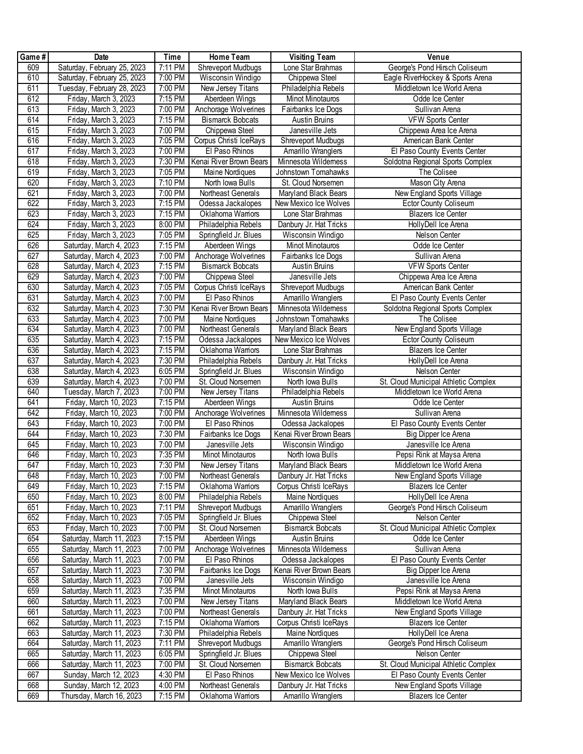| Game# | Date                        | Time              | Home Team               | <b>Visiting Team</b>    | Venue                                |
|-------|-----------------------------|-------------------|-------------------------|-------------------------|--------------------------------------|
| 609   | Saturday, February 25, 2023 | 7:11 PM           | Shreveport Mudbugs      | Lone Star Brahmas       | George's Pond Hirsch Coliseum        |
| 610   | Saturday, February 25, 2023 | 7:00 PM           | Wisconsin Windigo       | Chippewa Steel          | Eagle RiverHockey & Sports Arena     |
| 611   | Tuesday, February 28, 2023  | 7:00 PM           | New Jersey Titans       | Philadelphia Rebels     | Middletown Ice World Arena           |
| 612   | Friday, March 3, 2023       | 7:15 PM           | Aberdeen Wings          | Minot Minotauros        | Odde Ice Center                      |
| 613   | Friday, March 3, 2023       | 7:00 PM           | Anchorage Wolverines    | Fairbanks Ice Dogs      | Sullivan Arena                       |
| 614   | Friday, March 3, 2023       | 7:15 PM           | <b>Bismarck Bobcats</b> | Austin Bruins           | <b>VFW Sports Center</b>             |
| 615   | Friday, March 3, 2023       | 7:00 PM           | Chippewa Steel          | Janesville Jets         | Chippewa Area Ice Arena              |
| 616   | Friday, March 3, 2023       | 7:05 PM           | Corpus Christi IceRays  | Shreveport Mudbugs      | American Bank Center                 |
| 617   | Friday, March 3, 2023       | 7:00 PM           | El Paso Rhinos          | Amarillo Wranglers      | El Paso County Events Center         |
| 618   | Friday, March 3, 2023       | 7:30 PM           | Kenai River Brown Bears | Minnesota Wildemess     | Soldotna Regional Sports Complex     |
| 619   | Friday, March 3, 2023       | 7:05 PM           | Maine Nordiques         | Johnstown Tomahawks     | The Colisee                          |
| 620   | Friday, March 3, 2023       | 7:10 PM           | North Iowa Bulls        | St. Cloud Norsemen      | Mason City Arena                     |
| 621   | Friday, March 3, 2023       | 7:00 PM           | Northeast Generals      | Maryland Black Bears    | New England Sports Village           |
| 622   | Friday, March 3, 2023       | 7:15 PM           | Odessa Jackalopes       | New Mexico Ice Wolves   | <b>Ector County Coliseum</b>         |
| 623   | Friday, March 3, 2023       | 7:15 PM           | Oklahoma Wamors         | Lone Star Brahmas       | <b>Blazers Ice Center</b>            |
| 624   | Friday, March 3, 2023       | 8:00 PM           | Philadelphia Rebels     | Danbury Jr. Hat Tricks  | HollyDell Ice Arena                  |
| 625   | Friday, March 3, 2023       | 7:05 PM           | Springfield Jr. Blues   | Wisconsin Windigo       | Nelson Center                        |
| 626   | Saturday, March 4, 2023     | 7:15 PM           | Aberdeen Wings          | Minot Minotauros        | Odde Ice Center                      |
| 627   | Saturday, March 4, 2023     | 7:00 PM           | Anchorage Wolverines    | Fairbanks Ice Dogs      | Sullivan Arena                       |
| 628   | Saturday, March 4, 2023     | 7:15 PM           | <b>Bismarck Bobcats</b> | Austin Bruins           | <b>VFW Sports Center</b>             |
| 629   | Saturday, March 4, 2023     | 7:00 PM           | Chippewa Steel          | Janesville Jets         | Chippewa Area Ice Arena              |
| 630   | Saturday, March 4, 2023     | 7:05 PM           | Corpus Christi IceRays  | Shreveport Mudbugs      | American Bank Center                 |
| 631   | Saturday, March 4, 2023     | 7:00 PM           | El Paso Rhinos          | Amarillo Wranglers      | El Paso County Events Center         |
| 632   | Saturday, March 4, 2023     | 7:30 PM           | Kenai River Brown Bears | Minnesota Wildemess     | Soldotna Regional Sports Complex     |
| 633   | Saturday, March 4, 2023     | 7:00 PM           | Maine Nordiques         | Johnstown Tomahawks     | The Colisee                          |
| 634   | Saturday, March 4, 2023     | 7:00 PM           | Northeast Generals      | Maryland Black Bears    | New England Sports Village           |
| 635   | Saturday, March 4, 2023     | 7:15 PM           | Odessa Jackalopes       | New Mexico Ice Wolves   | <b>Ector County Coliseum</b>         |
| 636   | Saturday, March 4, 2023     | 7:15 PM           | Oklahoma Wamors         | Lone Star Brahmas       | <b>Blazers Ice Center</b>            |
| 637   | Saturday, March 4, 2023     | 7:30 PM           | Philadelphia Rebels     | Danbury Jr. Hat Tricks  | HollyDell Ice Arena                  |
| 638   | Saturday, March 4, 2023     | 6:05 PM           | Springfield Jr. Blues   | Wisconsin Windigo       | Nelson Center                        |
| 639   | Saturday, March 4, 2023     | 7:00 PM           | St. Cloud Norsemen      | North Iowa Bulls        | St. Cloud Municipal Athletic Complex |
| 640   | Tuesday, March 7, 2023      | 7:00 PM           | New Jersey Titans       | Philadelphia Rebels     | Middletown Ice World Arena           |
| 641   | Friday, March 10, 2023      | 7:15 PM           | Aberdeen Wings          | Austin Bruins           | Odde Ice Center                      |
| 642   | Friday, March 10, 2023      | 7:00 PM           | Anchorage Wolverines    | Minnesota Wildemess     | Sullivan Arena                       |
| 643   | Friday, March 10, 2023      | $7:00$ PM         | El Paso Rhinos          | Odessa Jackalopes       | El Paso County Events Center         |
| 644   | Friday, March 10, 2023      | 7:30 PM           | Fairbanks Ice Dogs      | Kenai River Brown Bears | Big Dipper Ice Arena                 |
| 645   | Friday, March 10, 2023      | 7:00 PM           | Janesville Jets         | Wisconsin Windigo       | Janesville Ice Arena                 |
| 646   | Friday, March 10, 2023      | 7:35 PM           | Minot Minotauros        | North Iowa Bulls        | Pepsi Rink at Maysa Arena            |
| 647   | Friday, March 10, 2023      | 7:30 PM           | New Jersey Titans       | Maryland Black Bears    | Middletown Ice World Arena           |
| 648   | Friday, March 10, 2023      | 7:00 PM           | Northeast Generals      | Danbury Jr. Hat Tricks  | New England Sports Village           |
| 649   | Friday, March 10, 2023      | 7:15 PM           | Oklahoma Wamors         | Corpus Christi IceRays  | <b>Blazers Ice Center</b>            |
| 650   | Friday, March 10, 2023      | 8:00 PM           | Philadelphia Rebels     | Maine Nordiques         | HollyDell Ice Arena                  |
| 651   | Friday, March 10, 2023      | 7:11 PM           | Shreveport Mudbugs      | Amarillo Wranglers      | George's Pond Hirsch Coliseum        |
| 652   | Friday, March 10, 2023      | 7:05 PM           | Springfield Jr. Blues   | Chippewa Steel          | Nelson Center                        |
| 653   | Friday, March 10, 2023      | 7:00 PM           | St. Cloud Norsemen      | <b>Bismarck Bobcats</b> | St. Cloud Municipal Athletic Complex |
| 654   | Saturday, March 11, 2023    | 7:15 PM           | Aberdeen Wings          | <b>Austin Bruins</b>    | Odde Ice Center                      |
| 655   | Saturday, March 11, 2023    | 7:00 PM           | Anchorage Wolverines    | Minnesota Wildemess     | Sullivan Arena                       |
| 656   | Saturday, March 11, 2023    | 7:00 PM           | El Paso Rhinos          | Odessa Jackalopes       | El Paso County Events Center         |
| 657   | Saturday, March 11, 2023    | 7:30 PM           | Fairbanks Ice Dogs      | Kenai River Brown Bears | Big Dipper Ice Arena                 |
| 658   | Saturday, March 11, 2023    | 7:00 PM           | Janesville Jets         | Wisconsin Windigo       | Janesville Ice Arena                 |
| 659   | Saturday, March 11, 2023    | 7:35 PM           | Minot Minotauros        | North Iowa Bulls        | Pepsi Rink at Maysa Arena            |
| 660   | Saturday, March 11, 2023    | 7:00 PM           | New Jersey Titans       | Maryland Black Bears    | Middletown Ice World Arena           |
| 661   | Saturday, March 11, 2023    | 7:00 PM           | Northeast Generals      | Danbury Jr. Hat Tricks  | New England Sports Village           |
| 662   | Saturday, March 11, 2023    | 7:15 PM           | Oklahoma Wamors         | Corpus Christi IceRays  | <b>Blazers Ice Center</b>            |
| 663   | Saturday, March 11, 2023    | 7:30 PM           | Philadelphia Rebels     | Maine Nordiques         | HollyDell Ice Arena                  |
| 664   | Saturday, March 11, 2023    | $7:11 \text{ PM}$ | Shreveport Mudbugs      | Amarillo Wranglers      | George's Pond Hirsch Coliseum        |
| 665   | Saturday, March 11, 2023    | 6:05 PM           | Springfield Jr. Blues   | Chippewa Steel          | Nelson Center                        |
| 666   | Saturday, March 11, 2023    | 7:00 PM           | St. Cloud Norsemen      | <b>Bismarck Bobcats</b> | St. Cloud Municipal Athletic Complex |
| 667   | Sunday, March 12, 2023      | 4:30 PM           | El Paso Rhinos          | New Mexico Ice Wolves   | El Paso County Events Center         |
| 668   | Sunday, March 12, 2023      | 4:00 PM           | Northeast Generals      | Danbury Jr. Hat Tricks  | New England Sports Village           |
| 669   | Thursday, March 16, 2023    | 7:15 PM           | Oklahoma Wamors         | Amarillo Wranglers      | <b>Blazers Ice Center</b>            |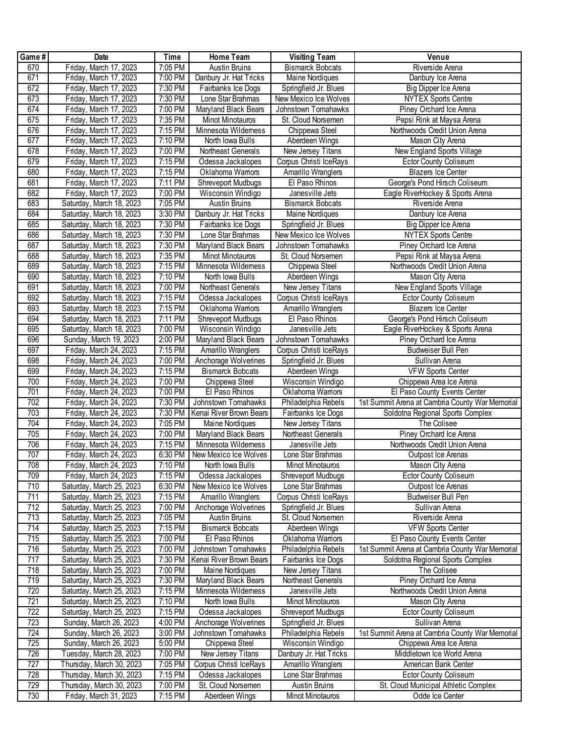| Game#            | Date                     | <b>Time</b> | Home Team                 | <b>Visiting Team</b>      | Venue                                           |
|------------------|--------------------------|-------------|---------------------------|---------------------------|-------------------------------------------------|
| 670              | Friday, March 17, 2023   | 7:05 PM     | <b>Austin Bruins</b>      | <b>Bismarck Bobcats</b>   | Riverside Arena                                 |
| 671              | Friday, March 17, 2023   | 7:00 PM     | Danbury Jr. Hat Tricks    | Maine Nordiques           | Danbury Ice Arena                               |
| 672              | Friday, March 17, 2023   | 7:30 PM     | Fairbanks Ice Dogs        | Springfield Jr. Blues     | Big Dipper Ice Arena                            |
| 673              | Friday, March 17, 2023   | 7:30 PM     | Lone Star Brahmas         | New Mexico Ice Wolves     | <b>NYTEX Sports Centre</b>                      |
| 674              | Friday, March 17, 2023   | $7:00$ PM   | Maryland Black Bears      | Johnstown Tomahawks       | Piney Orchard Ice Arena                         |
| 675              | Friday, March 17, 2023   | 7:35 PM     | <b>Minot Minotauros</b>   | St. Cloud Norsemen        | Pepsi Rink at Maysa Arena                       |
| 676              | Friday, March 17, 2023   | 7:15 PM     | Minnesota Wildemess       | Chippewa Steel            | Northwoods Credit Union Arena                   |
| 677              | Friday, March 17, 2023   | 7:10 PM     | North Iowa Bulls          | Aberdeen Wings            | Mason City Arena                                |
| 678              | Friday, March 17, 2023   | 7:00 PM     | Northeast Generals        | New Jersey Titans         | New England Sports Village                      |
| 679              | Friday, March 17, 2023   | 7:15 PM     | Odessa Jackalopes         | Corpus Christi IceRays    | <b>Ector County Coliseum</b>                    |
| 680              | Friday, March 17, 2023   | 7:15 PM     | Oklahoma Wamors           | Amarillo Wranglers        | <b>Blazers Ice Center</b>                       |
| 681              | Friday, March 17, 2023   | 7:11 PM     | <b>Shreveport Mudbugs</b> | El Paso Rhinos            | George's Pond Hirsch Coliseum                   |
| 682              | Friday, March 17, 2023   | 7:00 PM     | Wisconsin Windigo         | Janesville Jets           | Eagle RiverHockey & Sports Arena                |
| 683              | Saturday, March 18, 2023 | 7:05 PM     | <b>Austin Bruins</b>      | <b>Bismarck Bobcats</b>   | Riverside Arena                                 |
| 684              | Saturday, March 18, 2023 | 3:30 PM     | Danbury Jr. Hat Tricks    | Maine Nordiques           | Danbury Ice Arena                               |
| 685              | Saturday, March 18, 2023 | 7:30 PM     | Fairbanks Ice Dogs        | Springfield Jr. Blues     | Big Dipper Ice Arena                            |
| 686              | Saturday, March 18, 2023 | 7:30 PM     | Lone Star Brahmas         | New Mexico Ice Wolves     | <b>NYTEX Sports Centre</b>                      |
| 687              | Saturday, March 18, 2023 | 7:30 PM     | Maryland Black Bears      | Johnstown Tomahawks       | Piney Orchard Ice Arena                         |
| 688              | Saturday, March 18, 2023 | 7:35 PM     | Minot Minotauros          | St. Cloud Norsemen        | Pepsi Rink at Maysa Arena                       |
| 689              | Saturday, March 18, 2023 | 7:15 PM     | Minnesota Wildemess       | Chippewa Steel            | Northwoods Credit Union Arena                   |
| 690              | Saturday, March 18, 2023 | 7:10 PM     | North Iowa Bulls          | Aberdeen Wings            | Mason City Arena                                |
| 691              | Saturday, March 18, 2023 | 7:00 PM     | Northeast Generals        | New Jersey Titans         | New England Sports Village                      |
| 692              | Saturday, March 18, 2023 | 7:15 PM     | Odessa Jackalopes         | Corpus Christi IceRays    | <b>Ector County Coliseum</b>                    |
| 693              | Saturday, March 18, 2023 | 7:15 PM     | Oklahoma Wamors           | Amarillo Wranglers        | <b>Blazers Ice Center</b>                       |
| 694              | Saturday, March 18, 2023 | 7:11 PM     | Shreveport Mudbugs        | El Paso Rhinos            | George's Pond Hirsch Coliseum                   |
| 695              | Saturday, March 18, 2023 | 7:00 PM     | Wisconsin Windigo         | Janesville Jets           | Eagle RiverHockey & Sports Arena                |
| 696              | Sunday, March 19, 2023   | 2:00 PM     | Maryland Black Bears      | Johnstown Tomahawks       | Piney Orchard Ice Arena                         |
| 697              | Friday, March 24, 2023   | 7:15 PM     | Amarillo Wranglers        | Corpus Christi IceRays    | Budweiser Bull Pen                              |
| 698              | Friday, March 24, 2023   | 7:00 PM     | Anchorage Wolverines      | Springfield Jr. Blues     | Sullivan Arena                                  |
| 699              | Friday, March 24, 2023   | 7:15 PM     | <b>Bismarck Bobcats</b>   | Aberdeen Wings            | <b>VFW Sports Center</b>                        |
| 700              | Friday, March 24, 2023   | 7:00 PM     | Chippewa Steel            | Wisconsin Windigo         | Chippewa Area Ice Arena                         |
| 701              | Friday, March 24, 2023   | 7:00 PM     | El Paso Rhinos            | Oklahoma Wamors           | El Paso County Events Center                    |
| 702              | Friday, March 24, 2023   | 7:30 PM     | Johnstown Tomahawks       | Philadelphia Rebels       | 1st Summit Arena at Cambria County War Memorial |
| 703              | Friday, March 24, 2023   | 7:30 PM     | Kenai River Brown Bears   | Fairbanks Ice Dogs        | Soldotna Regional Sports Complex                |
| 704              | Friday, March 24, 2023   | 7:05 PM     | Maine Nordiques           | New Jersey Titans         | The Colisee                                     |
| 705              | Friday, March 24, 2023   | 7:00 PM     | Maryland Black Bears      | Northeast Generals        | Piney Orchard Ice Arena                         |
| 706              | Friday, March 24, 2023   | 7:15 PM     | Minnesota Wildemess       | Janesville Jets           | Northwoods Credit Union Arena                   |
| 707              | Friday, March 24, 2023   | 6:30 PM     | New Mexico Ice Wolves     | Lone Star Brahmas         | Outpost Ice Arenas                              |
| 708              | Friday, March 24, 2023   | 7:10 PM     | North Iowa Bulls          | Minot Minotauros          | Mason City Arena                                |
| 709              | Friday, March 24, 2023   | 7:15 PM     | Odessa Jackalopes         | Shreveport Mudbugs        | <b>Ector County Coliseum</b>                    |
| 710              | Saturday, March 25, 2023 | 6:30 PM     | New Mexico Ice Wolves     | Lone Star Brahmas         | Outpost Ice Arenas                              |
| 711              | Saturday, March 25, 2023 | 7:15 PM     | Amarillo Wranglers        | Corpus Christi IceRays    | <b>Budweiser Bull Pen</b>                       |
| 712              | Saturday, March 25, 2023 | 7:00 PM     | Anchorage Wolverines      | Springfield Jr. Blues     | Sullivan Arena                                  |
| 713              | Saturday, March 25, 2023 | 7:05 PM     | Austin Bruins             | St. Cloud Norsemen        | Riverside Arena                                 |
| 714              | Saturday, March 25, 2023 | 7:15 PM     | <b>Bismarck Bobcats</b>   | Aberdeen Wings            | <b>VFW Sports Center</b>                        |
| 715              | Saturday, March 25, 2023 | 7:00 PM     | El Paso Rhinos            | Oklahoma Wamors           | El Paso County Events Center                    |
| 716              | Saturday, March 25, 2023 | 7:00 PM     | Johnstown Tomahawks       | Philadelphia Rebels       | 1st Summit Arena at Cambria County War Memorial |
| 717              | Saturday, March 25, 2023 | 7:30 PM     | Kenai River Brown Bears   | Fairbanks Ice Dogs        | Soldotna Regional Sports Complex                |
| 718              | Saturday, March 25, 2023 | 7:00 PM     | Maine Nordiques           | New Jersey Titans         | The Colisee                                     |
| 719              | Saturday, March 25, 2023 | 7:30 PM     | Maryland Black Bears      | Northeast Generals        | Piney Orchard Ice Arena                         |
| 720              | Saturday, March 25, 2023 | 7:15 PM     | Minnesota Wildemess       | Janesville Jets           | Northwoods Credit Union Arena                   |
| $\overline{721}$ | Saturday, March 25, 2023 | 7:10 PM     | North Iowa Bulls          | Minot Minotauros          | Mason City Arena                                |
| 722              | Saturday, March 25, 2023 | 7:15 PM     | Odessa Jackalopes         | <b>Shreveport Mudbugs</b> | <b>Ector County Coliseum</b>                    |
| 723              | Sunday, March 26, 2023   | 4:00 PM     | Anchorage Wolverines      | Springfield Jr. Blues     | Sullivan Arena                                  |
| 724              | Sunday, March 26, 2023   | 3:00 PM     | Johnstown Tomahawks       | Philadelphia Rebels       | 1st Summit Arena at Cambria County War Memorial |
| 725              | Sunday, March 26, 2023   | 5:00 PM     | Chippewa Steel            | Wisconsin Windigo         | Chippewa Area Ice Arena                         |
| 726              | Tuesday, March 28, 2023  | 7:00 PM     | New Jersey Titans         | Danbury Jr. Hat Tricks    | Middletown Ice World Arena                      |
| 727              | Thursday, March 30, 2023 | 7:05 PM     | Corpus Christi IceRays    | Amarillo Wranglers        | American Bank Center                            |
| 728              | Thursday, March 30, 2023 | 7:15 PM     | Odessa Jackalopes         | Lone Star Brahmas         | Ector County Coliseum                           |
| 729              | Thursday, March 30, 2023 | 7:00 PM     | St. Cloud Norsemen        | Austin Bruins             | St. Cloud Municipal Athletic Complex            |
| 730              | Friday, March 31, 2023   | 7:15 PM     | Aberdeen Wings            | Minot Minotauros          | Odde Ice Center                                 |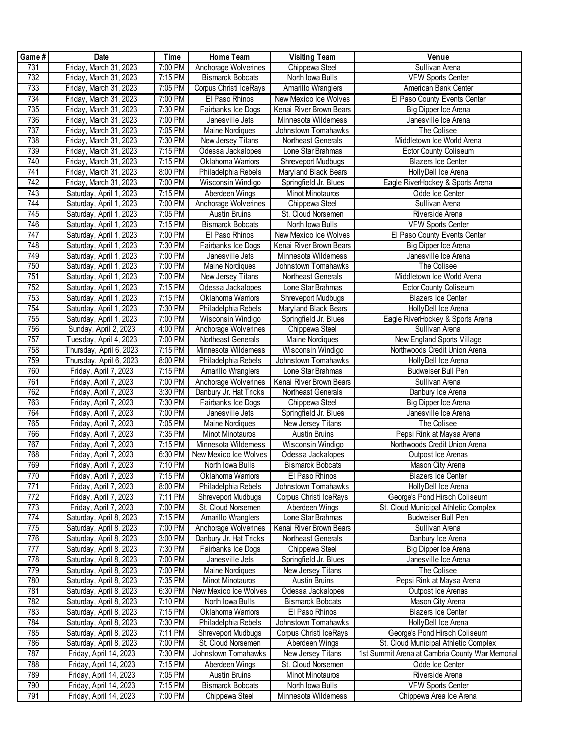| Game#            | Date                    | Time      | Home Team                 | <b>Visiting Team</b>    | Venue                                           |
|------------------|-------------------------|-----------|---------------------------|-------------------------|-------------------------------------------------|
| 731              | Friday, March 31, 2023  | 7:00 PM   | Anchorage Wolverines      | Chippewa Steel          | Sullivan Arena                                  |
| 732              | Friday, March 31, 2023  | 7:15 PM   | <b>Bismarck Bobcats</b>   | North Iowa Bulls        | <b>VFW Sports Center</b>                        |
| 733              | Friday, March 31, 2023  | 7:05 PM   | Corpus Christi IceRays    | Amarillo Wranglers      | American Bank Center                            |
| 734              | Friday, March 31, 2023  | 7:00 PM   | El Paso Rhinos            | New Mexico Ice Wolves   | El Paso County Events Center                    |
| 735              | Friday, March 31, 2023  | 7:30 PM   | Fairbanks Ice Dogs        | Kenai River Brown Bears | Big Dipper Ice Arena                            |
| 736              | Friday, March 31, 2023  | 7:00 PM   | Janesville Jets           | Minnesota Wildemess     | Janesville Ice Arena                            |
| 737              | Friday, March 31, 2023  | 7:05 PM   | Maine Nordiques           | Johnstown Tomahawks     | The Colisee                                     |
| 738              | Friday, March 31, 2023  | 7:30 PM   | New Jersey Titans         | Northeast Generals      | Middletown Ice World Arena                      |
| 739              | Friday, March 31, 2023  | 7:15 PM   | Odessa Jackalopes         | Lone Star Brahmas       | <b>Ector County Coliseum</b>                    |
| 740              | Friday, March 31, 2023  | 7:15 PM   | Oklahoma Wamors           | Shreveport Mudbugs      | <b>Blazers Ice Center</b>                       |
| 741              | Friday, March 31, 2023  | 8:00 PM   | Philadelphia Rebels       | Maryland Black Bears    | HollyDell Ice Arena                             |
| 742              | Friday, March 31, 2023  | 7:00 PM   | <b>Wisconsin Windigo</b>  | Springfield Jr. Blues   | Eagle RiverHockey & Sports Arena                |
| 743              | Saturday, April 1, 2023 | 7:15 PM   | Aberdeen Wings            | Minot Minotauros        | Odde Ice Center                                 |
| 744              | Saturday, April 1, 2023 | 7:00 PM   | Anchorage Wolverines      | Chippewa Steel          | Sullivan Arena                                  |
| 745              | Saturday, April 1, 2023 | 7:05 PM   | Austin Bruins             | St. Cloud Norsemen      | Riverside Arena                                 |
| 746              | Saturday, April 1, 2023 | 7:15 PM   | <b>Bismarck Bobcats</b>   | North Iowa Bulls        | <b>VFW Sports Center</b>                        |
| $\overline{747}$ | Saturday, April 1, 2023 | 7:00 PM   | El Paso Rhinos            | New Mexico Ice Wolves   | El Paso County Events Center                    |
| 748              | Saturday, April 1, 2023 | 7:30 PM   | Fairbanks Ice Dogs        | Kenai River Brown Bears | Big Dipper Ice Arena                            |
| 749              | Saturday, April 1, 2023 | 7:00 PM   | Janesville Jets           | Minnesota Wildemess     | Janesville Ice Arena                            |
| 750              | Saturday, April 1, 2023 | 7:00 PM   | Maine Nordiques           | Johnstown Tomahawks     | The Colisee                                     |
| 751              | Saturday, April 1, 2023 | 7:00 PM   | New Jersey Titans         | Northeast Generals      | Middletown Ice World Arena                      |
| 752              | Saturday, April 1, 2023 | 7:15 PM   | Odessa Jackalopes         | Lone Star Brahmas       | <b>Ector County Coliseum</b>                    |
| 753              | Saturday, April 1, 2023 | 7:15 PM   | Oklahoma Wamors           | Shreveport Mudbugs      | <b>Blazers Ice Center</b>                       |
| 754              | Saturday, April 1, 2023 | 7:30 PM   | Philadelphia Rebels       | Maryland Black Bears    | HollyDell Ice Arena                             |
| 755              | Saturday, April 1, 2023 | 7:00 PM   | Wisconsin Windigo         | Springfield Jr. Blues   | Eagle RiverHockey & Sports Arena                |
| 756              | Sunday, April 2, 2023   | 4:00 PM   | Anchorage Wolverines      | Chippewa Steel          | Sullivan Arena                                  |
| 757              | Tuesday, April 4, 2023  | 7:00 PM   | Northeast Generals        | <b>Maine Nordiques</b>  | New England Sports Village                      |
| 758              | Thursday, April 6, 2023 | 7:15 PM   | Minnesota Wildemess       | Wisconsin Windigo       | Northwoods Credit Union Arena                   |
| 759              | Thursday, April 6, 2023 | $8:00$ PM | Philadelphia Rebels       | Johnstown Tomahawks     | HollyDell Ice Arena                             |
| 760              | Friday, April 7, 2023   | 7:15 PM   | Amarillo Wranglers        | Lone Star Brahmas       | Budweiser Bull Pen                              |
| 761              | Friday, April 7, 2023   | 7:00 PM   | Anchorage Wolverines      | Kenai River Brown Bears | Sullivan Arena                                  |
| 762              | Friday, April 7, 2023   | $3:30$ PM | Danbury Jr. Hat Tricks    | Northeast Generals      | Danbury Ice Arena                               |
| 763              | Friday, April 7, 2023   | 7:30 PM   | Fairbanks Ice Dogs        | Chippewa Steel          | Big Dipper Ice Arena                            |
| 764              | Friday, April 7, 2023   | 7:00 PM   | Janesville Jets           | Springfield Jr. Blues   | Janesville Ice Arena                            |
| 765              | Friday, April 7, 2023   | 7:05 PM   | Maine Nordiques           | New Jersey Titans       | The Colisee                                     |
| 766              | Friday, April 7, 2023   | 7:35 PM   | Minot Minotauros          | <b>Austin Bruins</b>    | Pepsi Rink at Maysa Arena                       |
| 767              | Friday, April 7, 2023   | 7:15 PM   | Minnesota Wildemess       | Wisconsin Windigo       | Northwoods Credit Union Arena                   |
| 768              | Friday, April 7, 2023   | $6:30$ PM | New Mexico Ice Wolves     | Odessa Jackalopes       | Outpost Ice Arenas                              |
| 769              | Friday, April 7, 2023   | 7:10 PM   | North Iowa Bulls          | <b>Bismarck Bobcats</b> | Mason City Arena                                |
| 770              | Friday, April 7, 2023   | 7:15 PM   | Oklahoma Wamors           | El Paso Rhinos          | <b>Blazers Ice Center</b>                       |
| 771              | Friday, April 7, 2023   | 8:00 PM   | Philadelphia Rebels       | Johnstown Tomahawks     | HollyDell Ice Arena                             |
| 772              | Friday, April 7, 2023   | 7:11 PM   | <b>Shreveport Mudbugs</b> | Corpus Christi IceRays  | George's Pond Hirsch Coliseum                   |
| 773              | Friday, April 7, 2023   | 7:00 PM   | St. Cloud Norsemen        | Aberdeen Wings          | St. Cloud Municipal Athletic Complex            |
| 774              | Saturday, April 8, 2023 | 7:15 PM   | Amarillo Wranglers        | Lone Star Brahmas       | Budweiser Bull Pen                              |
| 775              | Saturday, April 8, 2023 | 7:00 PM   | Anchorage Wolverines      | Kenai River Brown Bears | Sullivan Arena                                  |
| 776              | Saturday, April 8, 2023 | 3:00 PM   | Danbury Jr. Hat Tricks    | Northeast Generals      | Danbury Ice Arena                               |
| 777              | Saturday, April 8, 2023 | 7:30 PM   | Fairbanks Ice Dogs        | Chippewa Steel          | Big Dipper Ice Arena                            |
| 778              | Saturday, April 8, 2023 | 7:00 PM   | Janesville Jets           | Springfield Jr. Blues   | Janesville Ice Arena                            |
| 779              | Saturday, April 8, 2023 | 7:00 PM   | Maine Nordiques           | New Jersey Titans       | The Colisee                                     |
| 780              | Saturday, April 8, 2023 | 7:35 PM   | Minot Minotauros          | <b>Austin Bruins</b>    | Pepsi Rink at Maysa Arena                       |
| 781              | Saturday, April 8, 2023 | 6:30 PM   | New Mexico Ice Wolves     | Odessa Jackalopes       | Outpost Ice Arenas                              |
| 782              | Saturday, April 8, 2023 | 7:10 PM   | North Iowa Bulls          | <b>Bismarck Bobcats</b> | Mason City Arena                                |
| 783              | Saturday, April 8, 2023 | 7:15 PM   | Oklahoma Wamors           | El Paso Rhinos          | <b>Blazers Ice Center</b>                       |
| 784              | Saturday, April 8, 2023 | 7:30 PM   | Philadelphia Rebels       | Johnstown Tomahawks     | HollyDell Ice Arena                             |
| 785              | Saturday, April 8, 2023 | 7:11 PM   | Shreveport Mudbugs        | Corpus Christi IceRays  | George's Pond Hirsch Coliseum                   |
| 786              | Saturday, April 8, 2023 | 7:00 PM   | St. Cloud Norsemen        | Aberdeen Wings          | St. Cloud Municipal Athletic Complex            |
| 787              | Friday, April 14, 2023  | 7:30 PM   | Johnstown Tomahawks       | New Jersey Titans       | 1st Summit Arena at Cambria County War Memorial |
| 788              | Friday, April 14, 2023  | 7:15 PM   | Aberdeen Wings            | St. Cloud Norsemen      | Odde Ice Center                                 |
| 789              | Friday, April 14, 2023  | 7:05 PM   | Austin Bruins             | Minot Minotauros        | Riverside Arena                                 |
| 790              | Friday, April 14, 2023  | 7:15 PM   | <b>Bismarck Bobcats</b>   | North Iowa Bulls        | <b>VFW Sports Center</b>                        |
| 791              | Friday, April 14, 2023  | 7:00 PM   | Chippewa Steel            | Minnesota Wildemess     | Chippewa Area Ice Arena                         |